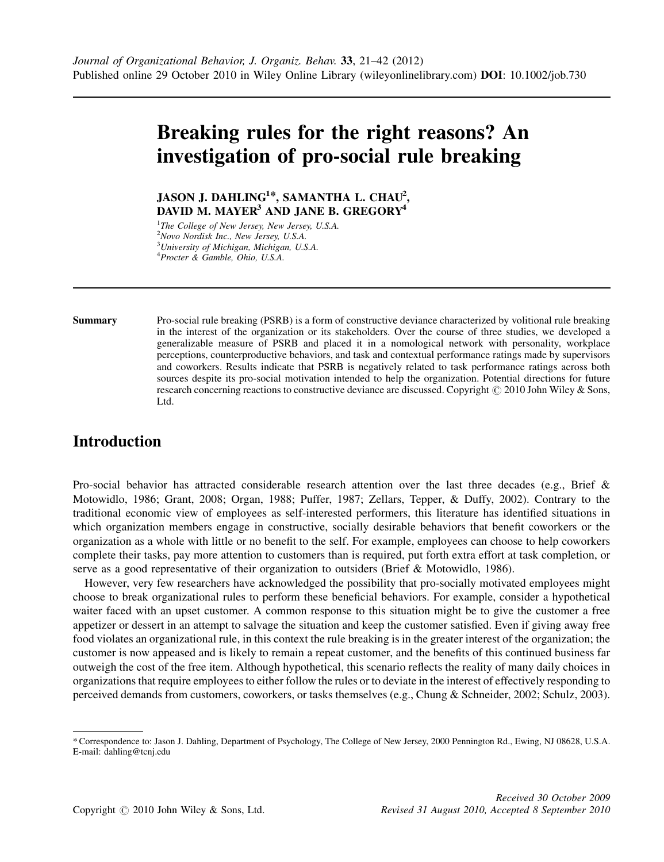# Breaking rules for the right reasons? An investigation of pro-social rule breaking

## JASON J. DAHLING $^{1*}$ , SAMANTHA L. CHAU $^2$ , DAVID M. MAYER<sup>3</sup> AND JANE B. GREGORY<sup>4</sup>

The College of New Jersey, New Jersey, U.S.A. Novo Nordisk Inc., New Jersey, U.S.A. <sup>3</sup>University of Michigan, Michigan, U.S.A. Procter & Gamble, Ohio, U.S.A.

**Summary** Pro-social rule breaking (PSRB) is a form of constructive deviance characterized by volitional rule breaking in the interest of the organization or its stakeholders. Over the course of three studies, we developed a generalizable measure of PSRB and placed it in a nomological network with personality, workplace perceptions, counterproductive behaviors, and task and contextual performance ratings made by supervisors and coworkers. Results indicate that PSRB is negatively related to task performance ratings across both sources despite its pro-social motivation intended to help the organization. Potential directions for future research concerning reactions to constructive deviance are discussed. Copyright  $\odot$  2010 John Wiley & Sons, Ltd.

## Introduction

Pro-social behavior has attracted considerable research attention over the last three decades (e.g., Brief & Motowidlo, 1986; Grant, 2008; Organ, 1988; Puffer, 1987; Zellars, Tepper, & Duffy, 2002). Contrary to the traditional economic view of employees as self-interested performers, this literature has identified situations in which organization members engage in constructive, socially desirable behaviors that benefit coworkers or the organization as a whole with little or no benefit to the self. For example, employees can choose to help coworkers complete their tasks, pay more attention to customers than is required, put forth extra effort at task completion, or serve as a good representative of their organization to outsiders (Brief & Motowidlo, 1986).

However, very few researchers have acknowledged the possibility that pro-socially motivated employees might choose to break organizational rules to perform these beneficial behaviors. For example, consider a hypothetical waiter faced with an upset customer. A common response to this situation might be to give the customer a free appetizer or dessert in an attempt to salvage the situation and keep the customer satisfied. Even if giving away free food violates an organizational rule, in this context the rule breaking is in the greater interest of the organization; the customer is now appeased and is likely to remain a repeat customer, and the benefits of this continued business far outweigh the cost of the free item. Although hypothetical, this scenario reflects the reality of many daily choices in organizations that require employees to either follow the rules or to deviate in the interest of effectively responding to perceived demands from customers, coworkers, or tasks themselves (e.g., Chung & Schneider, 2002; Schulz, 2003).

<sup>\*</sup> Correspondence to: Jason J. Dahling, Department of Psychology, The College of New Jersey, 2000 Pennington Rd., Ewing, NJ 08628, U.S.A. E-mail: dahling@tcnj.edu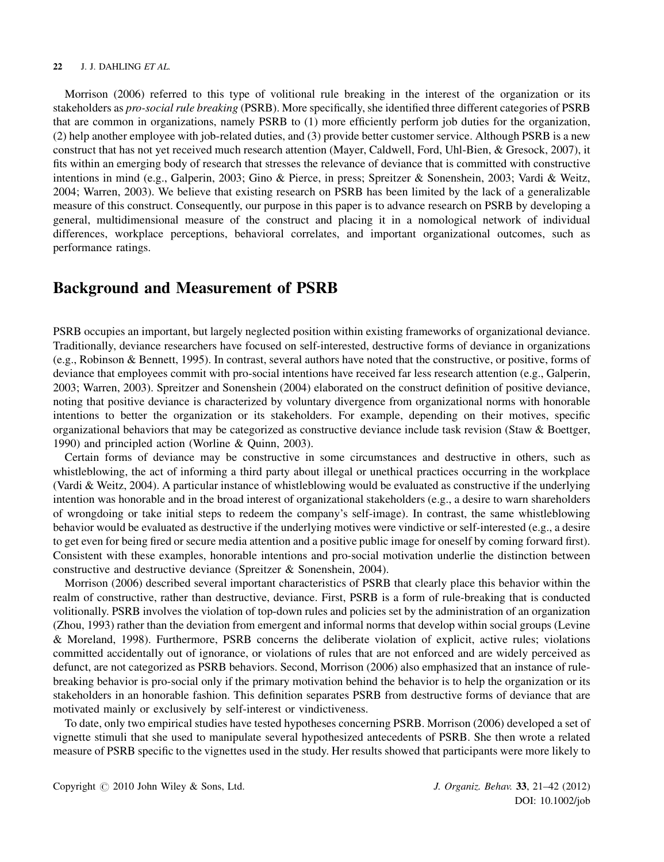Morrison (2006) referred to this type of volitional rule breaking in the interest of the organization or its stakeholders as *pro-social rule breaking* (PSRB). More specifically, she identified three different categories of PSRB that are common in organizations, namely PSRB to (1) more efficiently perform job duties for the organization, (2) help another employee with job-related duties, and (3) provide better customer service. Although PSRB is a new construct that has not yet received much research attention (Mayer, Caldwell, Ford, Uhl-Bien, & Gresock, 2007), it fits within an emerging body of research that stresses the relevance of deviance that is committed with constructive intentions in mind (e.g., Galperin, 2003; Gino & Pierce, in press; Spreitzer & Sonenshein, 2003; Vardi & Weitz, 2004; Warren, 2003). We believe that existing research on PSRB has been limited by the lack of a generalizable measure of this construct. Consequently, our purpose in this paper is to advance research on PSRB by developing a general, multidimensional measure of the construct and placing it in a nomological network of individual differences, workplace perceptions, behavioral correlates, and important organizational outcomes, such as performance ratings.

## Background and Measurement of PSRB

PSRB occupies an important, but largely neglected position within existing frameworks of organizational deviance. Traditionally, deviance researchers have focused on self-interested, destructive forms of deviance in organizations (e.g., Robinson & Bennett, 1995). In contrast, several authors have noted that the constructive, or positive, forms of deviance that employees commit with pro-social intentions have received far less research attention (e.g., Galperin, 2003; Warren, 2003). Spreitzer and Sonenshein (2004) elaborated on the construct definition of positive deviance, noting that positive deviance is characterized by voluntary divergence from organizational norms with honorable intentions to better the organization or its stakeholders. For example, depending on their motives, specific organizational behaviors that may be categorized as constructive deviance include task revision (Staw  $\&$  Boettger, 1990) and principled action (Worline & Quinn, 2003).

Certain forms of deviance may be constructive in some circumstances and destructive in others, such as whistleblowing, the act of informing a third party about illegal or unethical practices occurring in the workplace (Vardi & Weitz, 2004). A particular instance of whistleblowing would be evaluated as constructive if the underlying intention was honorable and in the broad interest of organizational stakeholders (e.g., a desire to warn shareholders of wrongdoing or take initial steps to redeem the company's self-image). In contrast, the same whistleblowing behavior would be evaluated as destructive if the underlying motives were vindictive or self-interested (e.g., a desire to get even for being fired or secure media attention and a positive public image for oneself by coming forward first). Consistent with these examples, honorable intentions and pro-social motivation underlie the distinction between constructive and destructive deviance (Spreitzer & Sonenshein, 2004).

Morrison (2006) described several important characteristics of PSRB that clearly place this behavior within the realm of constructive, rather than destructive, deviance. First, PSRB is a form of rule-breaking that is conducted volitionally. PSRB involves the violation of top-down rules and policies set by the administration of an organization (Zhou, 1993) rather than the deviation from emergent and informal norms that develop within social groups (Levine & Moreland, 1998). Furthermore, PSRB concerns the deliberate violation of explicit, active rules; violations committed accidentally out of ignorance, or violations of rules that are not enforced and are widely perceived as defunct, are not categorized as PSRB behaviors. Second, Morrison (2006) also emphasized that an instance of rulebreaking behavior is pro-social only if the primary motivation behind the behavior is to help the organization or its stakeholders in an honorable fashion. This definition separates PSRB from destructive forms of deviance that are motivated mainly or exclusively by self-interest or vindictiveness.

To date, only two empirical studies have tested hypotheses concerning PSRB. Morrison (2006) developed a set of vignette stimuli that she used to manipulate several hypothesized antecedents of PSRB. She then wrote a related measure of PSRB specific to the vignettes used in the study. Her results showed that participants were more likely to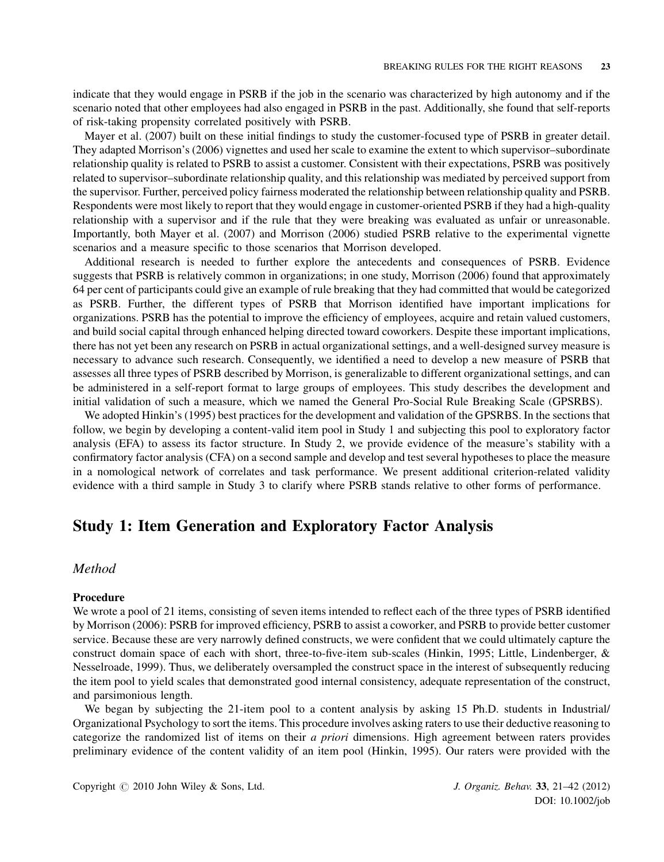indicate that they would engage in PSRB if the job in the scenario was characterized by high autonomy and if the scenario noted that other employees had also engaged in PSRB in the past. Additionally, she found that self-reports of risk-taking propensity correlated positively with PSRB.

Mayer et al. (2007) built on these initial findings to study the customer-focused type of PSRB in greater detail. They adapted Morrison's (2006) vignettes and used her scale to examine the extent to which supervisor–subordinate relationship quality is related to PSRB to assist a customer. Consistent with their expectations, PSRB was positively related to supervisor–subordinate relationship quality, and this relationship was mediated by perceived support from the supervisor. Further, perceived policy fairness moderated the relationship between relationship quality and PSRB. Respondents were most likely to report that they would engage in customer-oriented PSRB if they had a high-quality relationship with a supervisor and if the rule that they were breaking was evaluated as unfair or unreasonable. Importantly, both Mayer et al. (2007) and Morrison (2006) studied PSRB relative to the experimental vignette scenarios and a measure specific to those scenarios that Morrison developed.

Additional research is needed to further explore the antecedents and consequences of PSRB. Evidence suggests that PSRB is relatively common in organizations; in one study, Morrison (2006) found that approximately 64 per cent of participants could give an example of rule breaking that they had committed that would be categorized as PSRB. Further, the different types of PSRB that Morrison identified have important implications for organizations. PSRB has the potential to improve the efficiency of employees, acquire and retain valued customers, and build social capital through enhanced helping directed toward coworkers. Despite these important implications, there has not yet been any research on PSRB in actual organizational settings, and a well-designed survey measure is necessary to advance such research. Consequently, we identified a need to develop a new measure of PSRB that assesses all three types of PSRB described by Morrison, is generalizable to different organizational settings, and can be administered in a self-report format to large groups of employees. This study describes the development and initial validation of such a measure, which we named the General Pro-Social Rule Breaking Scale (GPSRBS).

We adopted Hinkin's (1995) best practices for the development and validation of the GPSRBS. In the sections that follow, we begin by developing a content-valid item pool in Study 1 and subjecting this pool to exploratory factor analysis (EFA) to assess its factor structure. In Study 2, we provide evidence of the measure's stability with a confirmatory factor analysis (CFA) on a second sample and develop and test several hypotheses to place the measure in a nomological network of correlates and task performance. We present additional criterion-related validity evidence with a third sample in Study 3 to clarify where PSRB stands relative to other forms of performance.

## Study 1: Item Generation and Exploratory Factor Analysis

## Method

#### Procedure

We wrote a pool of 21 items, consisting of seven items intended to reflect each of the three types of PSRB identified by Morrison (2006): PSRB for improved efficiency, PSRB to assist a coworker, and PSRB to provide better customer service. Because these are very narrowly defined constructs, we were confident that we could ultimately capture the construct domain space of each with short, three-to-five-item sub-scales (Hinkin, 1995; Little, Lindenberger, & Nesselroade, 1999). Thus, we deliberately oversampled the construct space in the interest of subsequently reducing the item pool to yield scales that demonstrated good internal consistency, adequate representation of the construct, and parsimonious length.

We began by subjecting the 21-item pool to a content analysis by asking 15 Ph.D. students in Industrial/ Organizational Psychology to sort the items. This procedure involves asking raters to use their deductive reasoning to categorize the randomized list of items on their a priori dimensions. High agreement between raters provides preliminary evidence of the content validity of an item pool (Hinkin, 1995). Our raters were provided with the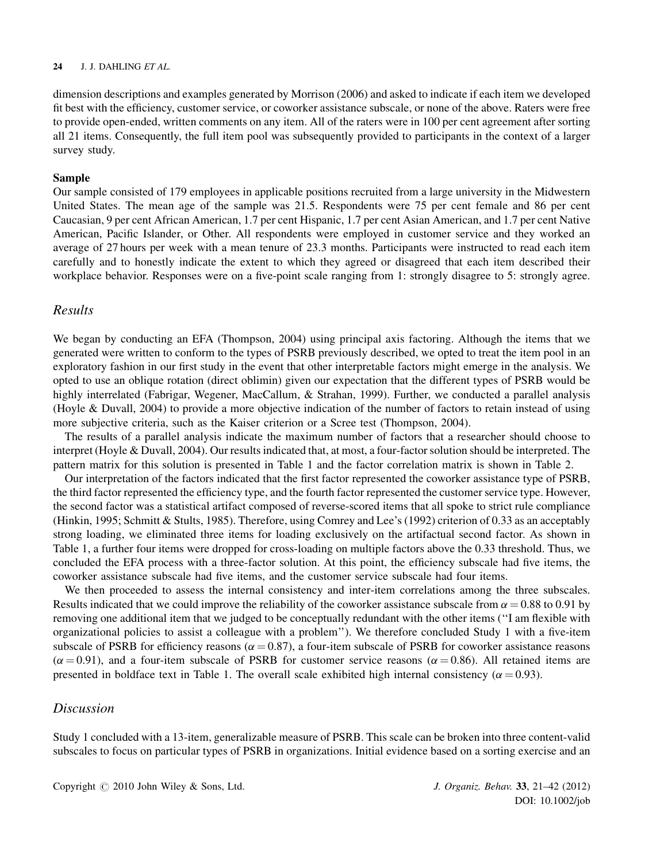dimension descriptions and examples generated by Morrison (2006) and asked to indicate if each item we developed fit best with the efficiency, customer service, or coworker assistance subscale, or none of the above. Raters were free to provide open-ended, written comments on any item. All of the raters were in 100 per cent agreement after sorting all 21 items. Consequently, the full item pool was subsequently provided to participants in the context of a larger survey study.

#### Sample

Our sample consisted of 179 employees in applicable positions recruited from a large university in the Midwestern United States. The mean age of the sample was 21.5. Respondents were 75 per cent female and 86 per cent Caucasian, 9 per cent African American, 1.7 per cent Hispanic, 1.7 per cent Asian American, and 1.7 per cent Native American, Pacific Islander, or Other. All respondents were employed in customer service and they worked an average of 27 hours per week with a mean tenure of 23.3 months. Participants were instructed to read each item carefully and to honestly indicate the extent to which they agreed or disagreed that each item described their workplace behavior. Responses were on a five-point scale ranging from 1: strongly disagree to 5: strongly agree.

### Results

We began by conducting an EFA (Thompson, 2004) using principal axis factoring. Although the items that we generated were written to conform to the types of PSRB previously described, we opted to treat the item pool in an exploratory fashion in our first study in the event that other interpretable factors might emerge in the analysis. We opted to use an oblique rotation (direct oblimin) given our expectation that the different types of PSRB would be highly interrelated (Fabrigar, Wegener, MacCallum, & Strahan, 1999). Further, we conducted a parallel analysis (Hoyle & Duvall, 2004) to provide a more objective indication of the number of factors to retain instead of using more subjective criteria, such as the Kaiser criterion or a Scree test (Thompson, 2004).

The results of a parallel analysis indicate the maximum number of factors that a researcher should choose to interpret (Hoyle & Duvall, 2004). Our results indicated that, at most, a four-factor solution should be interpreted. The pattern matrix for this solution is presented in Table 1 and the factor correlation matrix is shown in Table 2.

Our interpretation of the factors indicated that the first factor represented the coworker assistance type of PSRB, the third factor represented the efficiency type, and the fourth factor represented the customer service type. However, the second factor was a statistical artifact composed of reverse-scored items that all spoke to strict rule compliance (Hinkin, 1995; Schmitt & Stults, 1985). Therefore, using Comrey and Lee's (1992) criterion of 0.33 as an acceptably strong loading, we eliminated three items for loading exclusively on the artifactual second factor. As shown in Table 1, a further four items were dropped for cross-loading on multiple factors above the 0.33 threshold. Thus, we concluded the EFA process with a three-factor solution. At this point, the efficiency subscale had five items, the coworker assistance subscale had five items, and the customer service subscale had four items.

We then proceeded to assess the internal consistency and inter-item correlations among the three subscales. Results indicated that we could improve the reliability of the coworker assistance subscale from  $\alpha = 0.88$  to 0.91 by removing one additional item that we judged to be conceptually redundant with the other items (''I am flexible with organizational policies to assist a colleague with a problem''). We therefore concluded Study 1 with a five-item subscale of PSRB for efficiency reasons ( $\alpha = 0.87$ ), a four-item subscale of PSRB for coworker assistance reasons  $(\alpha = 0.91)$ , and a four-item subscale of PSRB for customer service reasons  $(\alpha = 0.86)$ . All retained items are presented in boldface text in Table 1. The overall scale exhibited high internal consistency ( $\alpha$  = 0.93).

### Discussion

Study 1 concluded with a 13-item, generalizable measure of PSRB. This scale can be broken into three content-valid subscales to focus on particular types of PSRB in organizations. Initial evidence based on a sorting exercise and an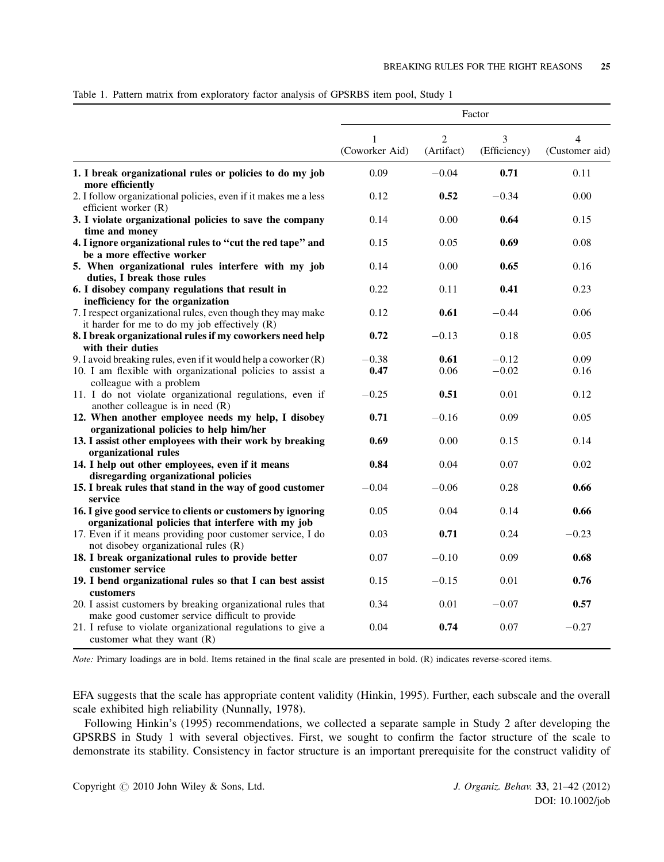|  |  |  |  |  | Table 1. Pattern matrix from exploratory factor analysis of GPSRBS item pool, Study 1 |  |  |  |  |  |  |  |  |
|--|--|--|--|--|---------------------------------------------------------------------------------------|--|--|--|--|--|--|--|--|
|--|--|--|--|--|---------------------------------------------------------------------------------------|--|--|--|--|--|--|--|--|

|                                                                                                                                                                                 |                 |                              | Factor             |                     |
|---------------------------------------------------------------------------------------------------------------------------------------------------------------------------------|-----------------|------------------------------|--------------------|---------------------|
|                                                                                                                                                                                 | (Coworker Aid)  | $\overline{c}$<br>(Artifact) | 3<br>(Efficiency)  | 4<br>(Customer aid) |
| 1. I break organizational rules or policies to do my job<br>more efficiently                                                                                                    | 0.09            | $-0.04$                      | 0.71               | 0.11                |
| 2. I follow organizational policies, even if it makes me a less<br>efficient worker (R)                                                                                         | 0.12            | 0.52                         | $-0.34$            | 0.00                |
| 3. I violate organizational policies to save the company<br>time and money                                                                                                      | 0.14            | 0.00                         | 0.64               | 0.15                |
| 4. I ignore organizational rules to "cut the red tape" and<br>be a more effective worker                                                                                        | 0.15            | 0.05                         | 0.69               | 0.08                |
| 5. When organizational rules interfere with my job<br>duties, I break those rules                                                                                               | 0.14            | 0.00                         | 0.65               | 0.16                |
| 6. I disobey company regulations that result in<br>inefficiency for the organization                                                                                            | 0.22            | 0.11                         | 0.41               | 0.23                |
| 7. I respect organizational rules, even though they may make<br>it harder for me to do my job effectively $(R)$                                                                 | 0.12            | 0.61                         | $-0.44$            | 0.06                |
| 8. I break organizational rules if my coworkers need help<br>with their duties                                                                                                  | 0.72            | $-0.13$                      | 0.18               | 0.05                |
| 9. I avoid breaking rules, even if it would help a coworker (R)<br>10. I am flexible with organizational policies to assist a<br>colleague with a problem                       | $-0.38$<br>0.47 | 0.61<br>0.06                 | $-0.12$<br>$-0.02$ | 0.09<br>0.16        |
| 11. I do not violate organizational regulations, even if<br>another colleague is in need $(R)$                                                                                  | $-0.25$         | 0.51                         | 0.01               | 0.12                |
| 12. When another employee needs my help, I disobey<br>organizational policies to help him/her                                                                                   | 0.71            | $-0.16$                      | 0.09               | 0.05                |
| 13. I assist other employees with their work by breaking<br>organizational rules                                                                                                | 0.69            | 0.00                         | 0.15               | 0.14                |
| 14. I help out other employees, even if it means<br>disregarding organizational policies                                                                                        | 0.84            | 0.04                         | 0.07               | 0.02                |
| 15. I break rules that stand in the way of good customer<br>service                                                                                                             | $-0.04$         | $-0.06$                      | 0.28               | 0.66                |
| 16. I give good service to clients or customers by ignoring<br>organizational policies that interfere with my job<br>17. Even if it means providing poor customer service, I do | 0.05<br>0.03    | 0.04<br>0.71                 | 0.14<br>0.24       | 0.66<br>$-0.23$     |
| not disobey organizational rules (R)<br>18. I break organizational rules to provide better                                                                                      | 0.07            | $-0.10$                      | 0.09               | 0.68                |
| customer service<br>19. I bend organizational rules so that I can best assist                                                                                                   | 0.15            | $-0.15$                      | 0.01               | 0.76                |
| customers<br>20. I assist customers by breaking organizational rules that                                                                                                       | 0.34            | 0.01                         | $-0.07$            | 0.57                |
| make good customer service difficult to provide<br>21. I refuse to violate organizational regulations to give a<br>customer what they want $(R)$                                | 0.04            | 0.74                         | 0.07               | $-0.27$             |

Note: Primary loadings are in bold. Items retained in the final scale are presented in bold. (R) indicates reverse-scored items.

EFA suggests that the scale has appropriate content validity (Hinkin, 1995). Further, each subscale and the overall scale exhibited high reliability (Nunnally, 1978).

Following Hinkin's (1995) recommendations, we collected a separate sample in Study 2 after developing the GPSRBS in Study 1 with several objectives. First, we sought to confirm the factor structure of the scale to demonstrate its stability. Consistency in factor structure is an important prerequisite for the construct validity of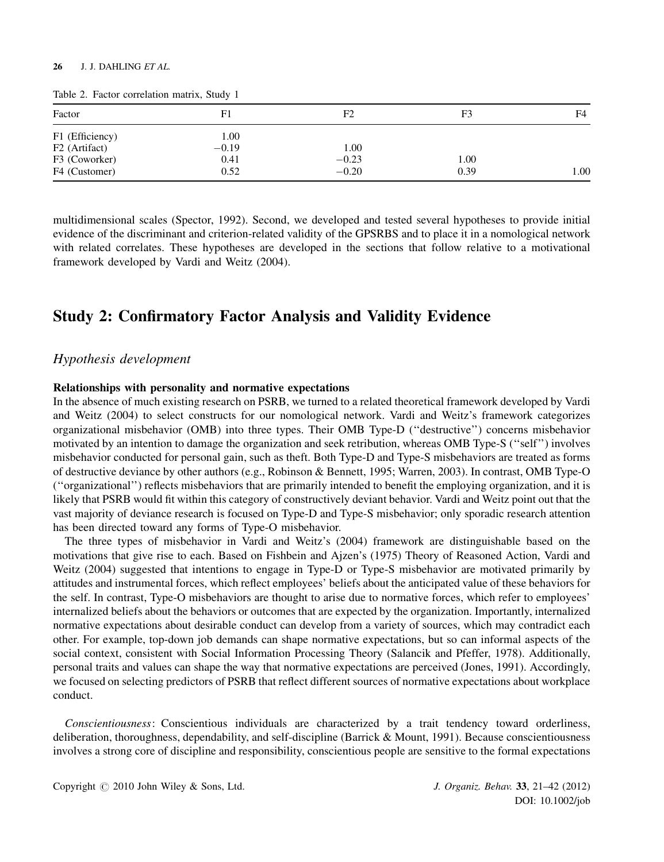| Factor                    | F1      | F2      | F3   | F4       |
|---------------------------|---------|---------|------|----------|
| F1 (Efficiency)           | 1.00    |         |      |          |
| F <sub>2</sub> (Artifact) | $-0.19$ | 1.00    |      |          |
| F3 (Coworker)             | 0.41    | $-0.23$ | 00.1 |          |
| F4 (Customer)             | 0.52    | $-0.20$ | 0.39 | $1.00\,$ |

Table 2. Factor correlation matrix, Study 1

multidimensional scales (Spector, 1992). Second, we developed and tested several hypotheses to provide initial evidence of the discriminant and criterion-related validity of the GPSRBS and to place it in a nomological network with related correlates. These hypotheses are developed in the sections that follow relative to a motivational framework developed by Vardi and Weitz (2004).

## Study 2: Confirmatory Factor Analysis and Validity Evidence

## Hypothesis development

### Relationships with personality and normative expectations

In the absence of much existing research on PSRB, we turned to a related theoretical framework developed by Vardi and Weitz (2004) to select constructs for our nomological network. Vardi and Weitz's framework categorizes organizational misbehavior (OMB) into three types. Their OMB Type-D (''destructive'') concerns misbehavior motivated by an intention to damage the organization and seek retribution, whereas OMB Type-S (''self'') involves misbehavior conducted for personal gain, such as theft. Both Type-D and Type-S misbehaviors are treated as forms of destructive deviance by other authors (e.g., Robinson & Bennett, 1995; Warren, 2003). In contrast, OMB Type-O (''organizational'') reflects misbehaviors that are primarily intended to benefit the employing organization, and it is likely that PSRB would fit within this category of constructively deviant behavior. Vardi and Weitz point out that the vast majority of deviance research is focused on Type-D and Type-S misbehavior; only sporadic research attention has been directed toward any forms of Type-O misbehavior.

The three types of misbehavior in Vardi and Weitz's (2004) framework are distinguishable based on the motivations that give rise to each. Based on Fishbein and Ajzen's (1975) Theory of Reasoned Action, Vardi and Weitz (2004) suggested that intentions to engage in Type-D or Type-S misbehavior are motivated primarily by attitudes and instrumental forces, which reflect employees' beliefs about the anticipated value of these behaviors for the self. In contrast, Type-O misbehaviors are thought to arise due to normative forces, which refer to employees' internalized beliefs about the behaviors or outcomes that are expected by the organization. Importantly, internalized normative expectations about desirable conduct can develop from a variety of sources, which may contradict each other. For example, top-down job demands can shape normative expectations, but so can informal aspects of the social context, consistent with Social Information Processing Theory (Salancik and Pfeffer, 1978). Additionally, personal traits and values can shape the way that normative expectations are perceived (Jones, 1991). Accordingly, we focused on selecting predictors of PSRB that reflect different sources of normative expectations about workplace conduct.

Conscientiousness: Conscientious individuals are characterized by a trait tendency toward orderliness, deliberation, thoroughness, dependability, and self-discipline (Barrick & Mount, 1991). Because conscientiousness involves a strong core of discipline and responsibility, conscientious people are sensitive to the formal expectations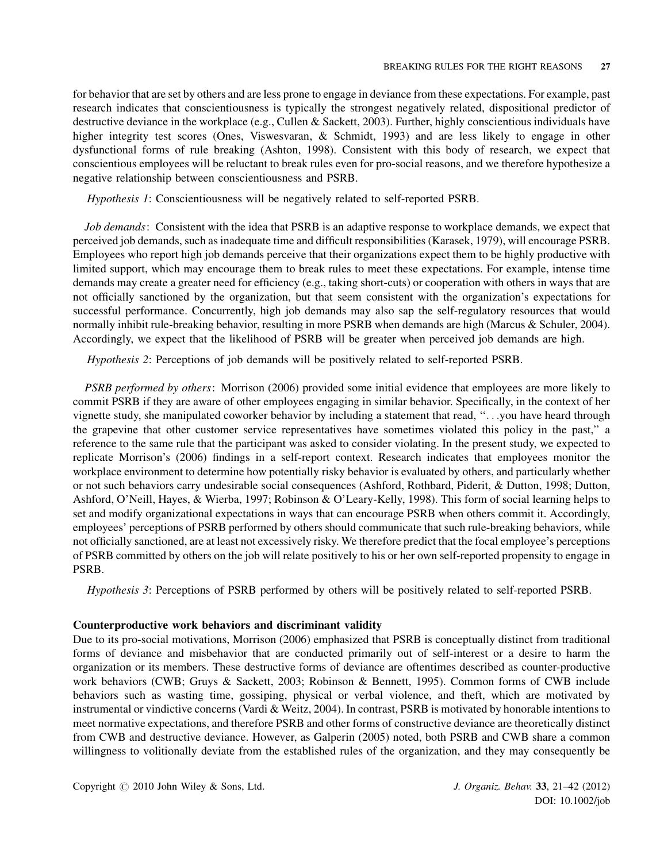for behavior that are set by others and are less prone to engage in deviance from these expectations. For example, past research indicates that conscientiousness is typically the strongest negatively related, dispositional predictor of destructive deviance in the workplace (e.g., Cullen & Sackett, 2003). Further, highly conscientious individuals have higher integrity test scores (Ones, Viswesvaran, & Schmidt, 1993) and are less likely to engage in other dysfunctional forms of rule breaking (Ashton, 1998). Consistent with this body of research, we expect that conscientious employees will be reluctant to break rules even for pro-social reasons, and we therefore hypothesize a negative relationship between conscientiousness and PSRB.

Hypothesis 1: Conscientiousness will be negatively related to self-reported PSRB.

Job demands: Consistent with the idea that PSRB is an adaptive response to workplace demands, we expect that perceived job demands, such as inadequate time and difficult responsibilities (Karasek, 1979), will encourage PSRB. Employees who report high job demands perceive that their organizations expect them to be highly productive with limited support, which may encourage them to break rules to meet these expectations. For example, intense time demands may create a greater need for efficiency (e.g., taking short-cuts) or cooperation with others in ways that are not officially sanctioned by the organization, but that seem consistent with the organization's expectations for successful performance. Concurrently, high job demands may also sap the self-regulatory resources that would normally inhibit rule-breaking behavior, resulting in more PSRB when demands are high (Marcus & Schuler, 2004). Accordingly, we expect that the likelihood of PSRB will be greater when perceived job demands are high.

Hypothesis 2: Perceptions of job demands will be positively related to self-reported PSRB.

PSRB performed by others: Morrison (2006) provided some initial evidence that employees are more likely to commit PSRB if they are aware of other employees engaging in similar behavior. Specifically, in the context of her vignette study, she manipulated coworker behavior by including a statement that read, ''...you have heard through the grapevine that other customer service representatives have sometimes violated this policy in the past,'' a reference to the same rule that the participant was asked to consider violating. In the present study, we expected to replicate Morrison's (2006) findings in a self-report context. Research indicates that employees monitor the workplace environment to determine how potentially risky behavior is evaluated by others, and particularly whether or not such behaviors carry undesirable social consequences (Ashford, Rothbard, Piderit, & Dutton, 1998; Dutton, Ashford, O'Neill, Hayes, & Wierba, 1997; Robinson & O'Leary-Kelly, 1998). This form of social learning helps to set and modify organizational expectations in ways that can encourage PSRB when others commit it. Accordingly, employees' perceptions of PSRB performed by others should communicate that such rule-breaking behaviors, while not officially sanctioned, are at least not excessively risky. We therefore predict that the focal employee's perceptions of PSRB committed by others on the job will relate positively to his or her own self-reported propensity to engage in PSRB.

Hypothesis 3: Perceptions of PSRB performed by others will be positively related to self-reported PSRB.

### Counterproductive work behaviors and discriminant validity

Due to its pro-social motivations, Morrison (2006) emphasized that PSRB is conceptually distinct from traditional forms of deviance and misbehavior that are conducted primarily out of self-interest or a desire to harm the organization or its members. These destructive forms of deviance are oftentimes described as counter-productive work behaviors (CWB; Gruys & Sackett, 2003; Robinson & Bennett, 1995). Common forms of CWB include behaviors such as wasting time, gossiping, physical or verbal violence, and theft, which are motivated by instrumental or vindictive concerns (Vardi & Weitz, 2004). In contrast, PSRB is motivated by honorable intentions to meet normative expectations, and therefore PSRB and other forms of constructive deviance are theoretically distinct from CWB and destructive deviance. However, as Galperin (2005) noted, both PSRB and CWB share a common willingness to volitionally deviate from the established rules of the organization, and they may consequently be

DOI: 10.1002/job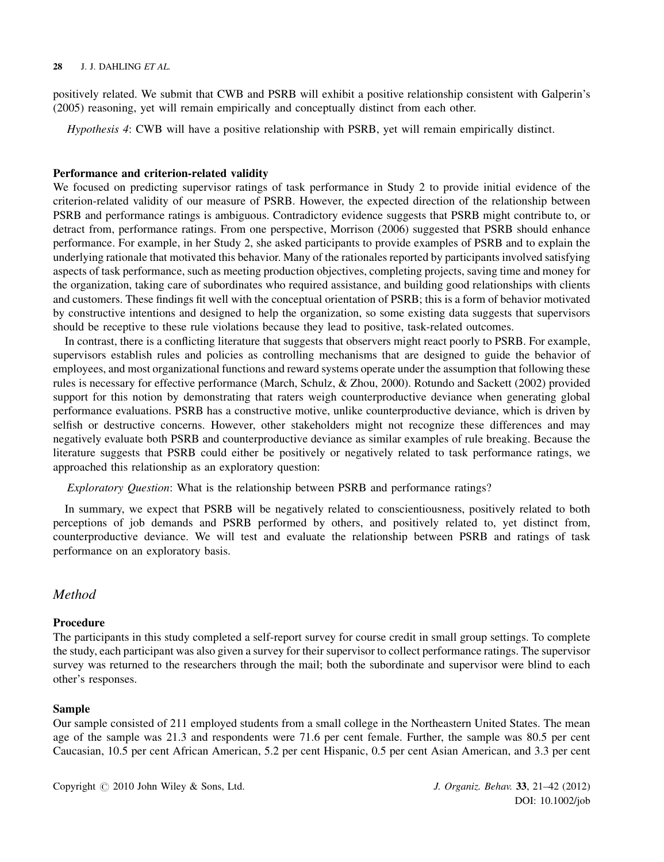positively related. We submit that CWB and PSRB will exhibit a positive relationship consistent with Galperin's (2005) reasoning, yet will remain empirically and conceptually distinct from each other.

Hypothesis 4: CWB will have a positive relationship with PSRB, yet will remain empirically distinct.

#### Performance and criterion-related validity

We focused on predicting supervisor ratings of task performance in Study 2 to provide initial evidence of the criterion-related validity of our measure of PSRB. However, the expected direction of the relationship between PSRB and performance ratings is ambiguous. Contradictory evidence suggests that PSRB might contribute to, or detract from, performance ratings. From one perspective, Morrison (2006) suggested that PSRB should enhance performance. For example, in her Study 2, she asked participants to provide examples of PSRB and to explain the underlying rationale that motivated this behavior. Many of the rationales reported by participants involved satisfying aspects of task performance, such as meeting production objectives, completing projects, saving time and money for the organization, taking care of subordinates who required assistance, and building good relationships with clients and customers. These findings fit well with the conceptual orientation of PSRB; this is a form of behavior motivated by constructive intentions and designed to help the organization, so some existing data suggests that supervisors should be receptive to these rule violations because they lead to positive, task-related outcomes.

In contrast, there is a conflicting literature that suggests that observers might react poorly to PSRB. For example, supervisors establish rules and policies as controlling mechanisms that are designed to guide the behavior of employees, and most organizational functions and reward systems operate under the assumption that following these rules is necessary for effective performance (March, Schulz, & Zhou, 2000). Rotundo and Sackett (2002) provided support for this notion by demonstrating that raters weigh counterproductive deviance when generating global performance evaluations. PSRB has a constructive motive, unlike counterproductive deviance, which is driven by selfish or destructive concerns. However, other stakeholders might not recognize these differences and may negatively evaluate both PSRB and counterproductive deviance as similar examples of rule breaking. Because the literature suggests that PSRB could either be positively or negatively related to task performance ratings, we approached this relationship as an exploratory question:

Exploratory Question: What is the relationship between PSRB and performance ratings?

In summary, we expect that PSRB will be negatively related to conscientiousness, positively related to both perceptions of job demands and PSRB performed by others, and positively related to, yet distinct from, counterproductive deviance. We will test and evaluate the relationship between PSRB and ratings of task performance on an exploratory basis.

## Method

#### Procedure

The participants in this study completed a self-report survey for course credit in small group settings. To complete the study, each participant was also given a survey for their supervisor to collect performance ratings. The supervisor survey was returned to the researchers through the mail; both the subordinate and supervisor were blind to each other's responses.

#### Sample

Our sample consisted of 211 employed students from a small college in the Northeastern United States. The mean age of the sample was 21.3 and respondents were 71.6 per cent female. Further, the sample was 80.5 per cent Caucasian, 10.5 per cent African American, 5.2 per cent Hispanic, 0.5 per cent Asian American, and 3.3 per cent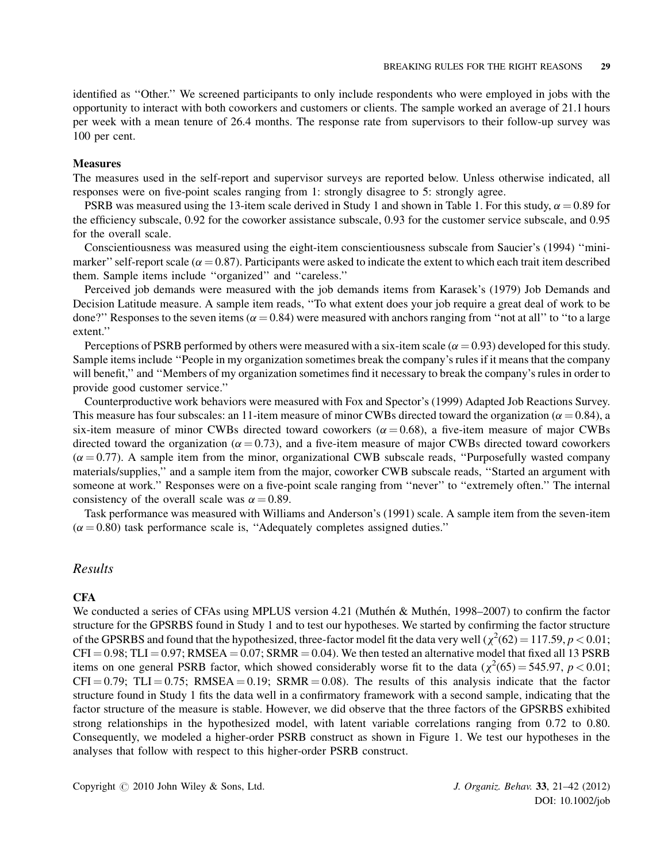identified as ''Other.'' We screened participants to only include respondents who were employed in jobs with the opportunity to interact with both coworkers and customers or clients. The sample worked an average of 21.1 hours per week with a mean tenure of 26.4 months. The response rate from supervisors to their follow-up survey was 100 per cent.

#### **Measures**

The measures used in the self-report and supervisor surveys are reported below. Unless otherwise indicated, all responses were on five-point scales ranging from 1: strongly disagree to 5: strongly agree.

PSRB was measured using the 13-item scale derived in Study 1 and shown in Table 1. For this study,  $\alpha = 0.89$  for the efficiency subscale, 0.92 for the coworker assistance subscale, 0.93 for the customer service subscale, and 0.95 for the overall scale.

Conscientiousness was measured using the eight-item conscientiousness subscale from Saucier's (1994) ''minimarker'' self-report scale ( $\alpha = 0.87$ ). Participants were asked to indicate the extent to which each trait item described them. Sample items include ''organized'' and ''careless.''

Perceived job demands were measured with the job demands items from Karasek's (1979) Job Demands and Decision Latitude measure. A sample item reads, ''To what extent does your job require a great deal of work to be done?" Responses to the seven items ( $\alpha$  = 0.84) were measured with anchors ranging from "not at all" to "to a large extent.''

Perceptions of PSRB performed by others were measured with a six-item scale ( $\alpha$  = 0.93) developed for this study. Sample items include ''People in my organization sometimes break the company's rules if it means that the company will benefit," and "Members of my organization sometimes find it necessary to break the company's rules in order to provide good customer service.''

Counterproductive work behaviors were measured with Fox and Spector's (1999) Adapted Job Reactions Survey. This measure has four subscales: an 11-item measure of minor CWBs directed toward the organization ( $\alpha$  = 0.84), a six-item measure of minor CWBs directed toward coworkers ( $\alpha = 0.68$ ), a five-item measure of major CWBs directed toward the organization ( $\alpha = 0.73$ ), and a five-item measure of major CWBs directed toward coworkers  $(\alpha = 0.77)$ . A sample item from the minor, organizational CWB subscale reads, "Purposefully wasted company materials/supplies,'' and a sample item from the major, coworker CWB subscale reads, ''Started an argument with someone at work." Responses were on a five-point scale ranging from "never" to "extremely often." The internal consistency of the overall scale was  $\alpha = 0.89$ .

Task performance was measured with Williams and Anderson's (1991) scale. A sample item from the seven-item  $(\alpha = 0.80)$  task performance scale is, "Adequately completes assigned duties."

### Results

#### **CFA**

We conducted a series of CFAs using MPLUS version 4.21 (Muthén & Muthén, 1998–2007) to confirm the factor structure for the GPSRBS found in Study 1 and to test our hypotheses. We started by confirming the factor structure of the GPSRBS and found that the hypothesized, three-factor model fit the data very well ( $\chi^2(62) = 117.59$ ,  $p < 0.01$ ;  $CFI = 0.98$ ;  $TLI = 0.97$ ; RMSEA = 0.07; SRMR = 0.04). We then tested an alternative model that fixed all 13 PSRB items on one general PSRB factor, which showed considerably worse fit to the data ( $\chi^2(65) = 545.97$ ,  $p < 0.01$ ;  $CFI = 0.79$ ;  $TLI = 0.75$ ;  $RMSEA = 0.19$ ;  $SRMR = 0.08$ ). The results of this analysis indicate that the factor structure found in Study 1 fits the data well in a confirmatory framework with a second sample, indicating that the factor structure of the measure is stable. However, we did observe that the three factors of the GPSRBS exhibited strong relationships in the hypothesized model, with latent variable correlations ranging from 0.72 to 0.80. Consequently, we modeled a higher-order PSRB construct as shown in Figure 1. We test our hypotheses in the analyses that follow with respect to this higher-order PSRB construct.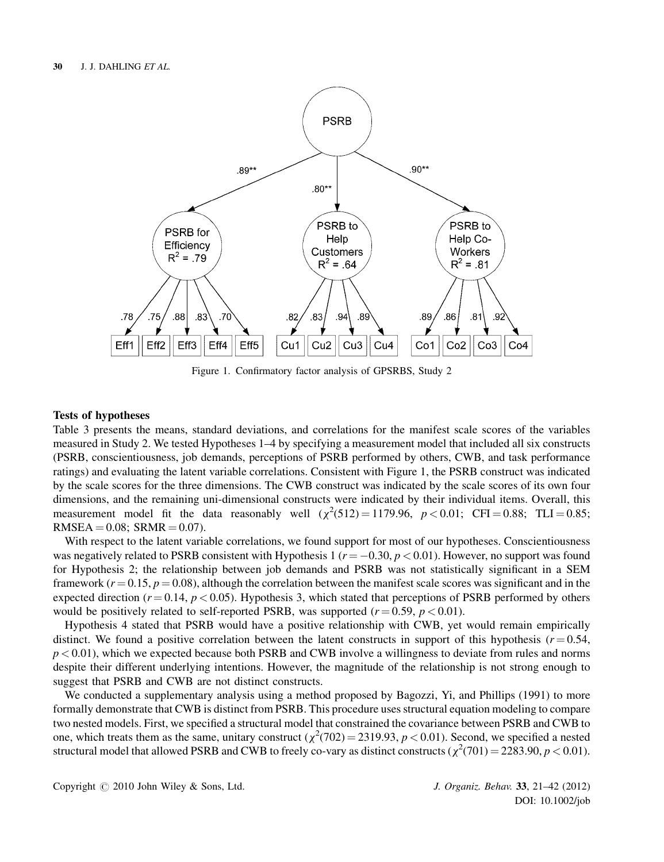

Figure 1. Confirmatory factor analysis of GPSRBS, Study 2

#### Tests of hypotheses

Table 3 presents the means, standard deviations, and correlations for the manifest scale scores of the variables measured in Study 2. We tested Hypotheses 1–4 by specifying a measurement model that included all six constructs (PSRB, conscientiousness, job demands, perceptions of PSRB performed by others, CWB, and task performance ratings) and evaluating the latent variable correlations. Consistent with Figure 1, the PSRB construct was indicated by the scale scores for the three dimensions. The CWB construct was indicated by the scale scores of its own four dimensions, and the remaining uni-dimensional constructs were indicated by their individual items. Overall, this measurement model fit the data reasonably well  $(\chi^2(512) = 1179.96, p < 0.01; CFI = 0.88; TLI = 0.85;$ RMSEA =  $0.08$ ; SRMR =  $0.07$ ).

With respect to the latent variable correlations, we found support for most of our hypotheses. Conscientiousness was negatively related to PSRB consistent with Hypothesis 1 ( $r = -0.30$ ,  $p < 0.01$ ). However, no support was found for Hypothesis 2; the relationship between job demands and PSRB was not statistically significant in a SEM framework ( $r = 0.15$ ,  $p = 0.08$ ), although the correlation between the manifest scale scores was significant and in the expected direction ( $r = 0.14$ ,  $p < 0.05$ ). Hypothesis 3, which stated that perceptions of PSRB performed by others would be positively related to self-reported PSRB, was supported  $(r = 0.59, p < 0.01)$ .

Hypothesis 4 stated that PSRB would have a positive relationship with CWB, yet would remain empirically distinct. We found a positive correlation between the latent constructs in support of this hypothesis ( $r = 0.54$ ,  $p < 0.01$ ), which we expected because both PSRB and CWB involve a willingness to deviate from rules and norms despite their different underlying intentions. However, the magnitude of the relationship is not strong enough to suggest that PSRB and CWB are not distinct constructs.

We conducted a supplementary analysis using a method proposed by Bagozzi, Yi, and Phillips (1991) to more formally demonstrate that CWB is distinct from PSRB. This procedure uses structural equation modeling to compare two nested models. First, we specified a structural model that constrained the covariance between PSRB and CWB to one, which treats them as the same, unitary construct  $(\chi^2(702) = 2319.93, p < 0.01)$ . Second, we specified a nested structural model that allowed PSRB and CWB to freely co-vary as distinct constructs ( $\chi^2(701) = 2283.90, p < 0.01$ ).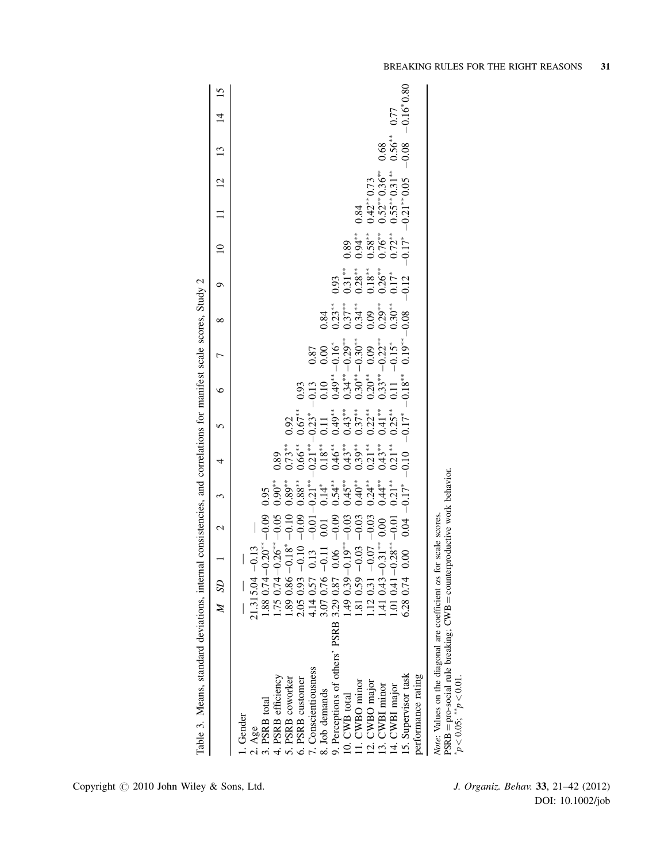|                                                                                                                                                                                                                                                                                               |  |      | $SD$ 1 2 3 4 5 6 7                |                                                                                                                                                                                                                                                                                                                            |                                                                                                                                  |                                                                                                                                                                                                                                                                                                                                                 | $\infty$                                                                                                                                                                                                                                                                                                      |                                                                                                                    |                                                                                      | 9 10 11 12 13 14 15                                                                                                                           |                                                           |                       |  |
|-----------------------------------------------------------------------------------------------------------------------------------------------------------------------------------------------------------------------------------------------------------------------------------------------|--|------|-----------------------------------|----------------------------------------------------------------------------------------------------------------------------------------------------------------------------------------------------------------------------------------------------------------------------------------------------------------------------|----------------------------------------------------------------------------------------------------------------------------------|-------------------------------------------------------------------------------------------------------------------------------------------------------------------------------------------------------------------------------------------------------------------------------------------------------------------------------------------------|---------------------------------------------------------------------------------------------------------------------------------------------------------------------------------------------------------------------------------------------------------------------------------------------------------------|--------------------------------------------------------------------------------------------------------------------|--------------------------------------------------------------------------------------|-----------------------------------------------------------------------------------------------------------------------------------------------|-----------------------------------------------------------|-----------------------|--|
| 7. Age<br>1.88 0.74 -0.13<br>3. PSRB total<br>4. PSRB efficiency<br>6. PSRB covered and<br>5. PSRB covered and<br>1.89 0.86 -0.18 <sup>+</sup> -0.<br>1.75 0.74 -0.20* +0.<br>1.75 0.74 -0.20* +0.<br>1.75 0.74 -0.20* +0.<br>1.75 0.74 -0.20* +0.<br>1.75 0.<br>performance rating<br>Gender |  | 0.04 |                                   | $\begin{array}{ c c } \hline &0.89&0.92&0.73^{**}&0.92&0.73^{**}&0.67^{**}&0.67^{**}&0.67^{**}&0.66^{**}&0.67^{**}&0.11&0.18^{**}&0.49^{**}&0.43^{**}&0.43^{**}&0.43^{**}&0.64^{**}&0.23^{**}&0.64^{**}&0.21^{**}&0.21^{**}&0.21^{**}&0.23^{**}&0.41^{**}&0.21^{**}&0.21^{**}&0.21^{**}&0.21^{**}&0.21^{**}&0.21^{**}&0.2$ | $\begin{array}{r} 0.93 \\ -0.13 \\ 0.10 \\ 0.043^{***} \\ 0.33^{***} \\ -0.10 \\ 0.033^{***} \\ -0.11 \\ -0.18^{**} \end{array}$ | $\begin{array}{c} 0.87 \\ 0.00 \\ -0.16 \\ -0.29 \\ +0.09 \\ -0.09 \\ -0.01 \\ -0.01 \\ -0.15 \\ +0.19 \\ -0.19 \\ -0.19 \\ -0.19 \\ -0.19 \\ -0.19 \\ -0.19 \\ -0.19 \\ -0.19 \\ -0.19 \\ -0.19 \\ -0.19 \\ -0.19 \\ -0.19 \\ -0.19 \\ -0.19 \\ -0.19 \\ -0.19 \\ -0.19 \\ -0.19 \\ -0.19 \\ -0.19 \\ -0.19 \\ -0.19 \\ -0.19 \\ -0.19 \\ -0.$ | $\begin{array}{c} 0.84 \\ 0.23 \\ 0.37 \\ 0.39 \\ 0.00 \\ 0.00 \\ 0.00 \\ 0.00 \\ 0.00 \\ 0.00 \\ 0.00 \\ 0.00 \\ 0.00 \\ 0.00 \\ 0.00 \\ 0.00 \\ 0.00 \\ 0.00 \\ 0.00 \\ 0.00 \\ 0.00 \\ 0.00 \\ 0.00 \\ 0.00 \\ 0.00 \\ 0.00 \\ 0.00 \\ 0.00 \\ 0.00 \\ 0.00 \\ 0.00 \\ 0.00 \\ 0.00 \\ 0.00 \\ 0.00 \\ 0.$ | $\begin{array}{c} 0.93 \\ 0.31^{***} \\ 0.28^{**} \\ 0.18^{***} \\ 0.13^{***} \\ 0.17^{**} \\ 0.12 \\ \end{array}$ | $0.89$<br>$0.58$<br>$0.57$<br>$0.72$<br>$0.71$<br>$0.71$<br>$0.9$<br>$0.0$<br>$0.71$ | $\begin{array}{lll} 0.84 & 0.73 \\ 0.42^{**}0.73 & 0.56^{**} \\ 0.52^{**}0.36^{**} & 0.31^{**} \\ 0.55^{**}0.31^{**} & 0.31^{**} \end{array}$ | $\begin{array}{c} 0.68 \\ 0.56^{**} \\ -0.08 \end{array}$ | $-0.77$<br>-0.16*0.80 |  |
| Note: Values on the diagonal are coefficient as for scale scores<br>PSRB = pro-social rule breaking; CWB                                                                                                                                                                                      |  |      | = counterproductive work behavior |                                                                                                                                                                                                                                                                                                                            |                                                                                                                                  |                                                                                                                                                                                                                                                                                                                                                 |                                                                                                                                                                                                                                                                                                               |                                                                                                                    |                                                                                      |                                                                                                                                               |                                                           |                       |  |

Table 3. Means, standard deviations, internal consistencies, and correlations for manifest scale scores, Study 2 Table 3. Means, standard deviations, internal consistencies, and correlations for manifest scale scores, Study 2

 $p < 0.05$ ;  $p < 0.01$ .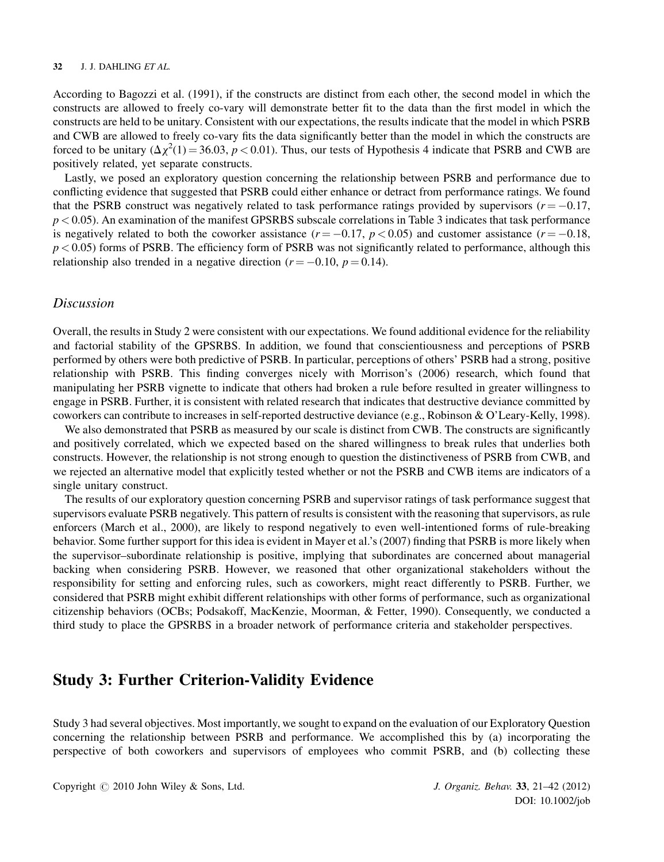According to Bagozzi et al. (1991), if the constructs are distinct from each other, the second model in which the constructs are allowed to freely co-vary will demonstrate better fit to the data than the first model in which the constructs are held to be unitary. Consistent with our expectations, the results indicate that the model in which PSRB and CWB are allowed to freely co-vary fits the data significantly better than the model in which the constructs are forced to be unitary  $(\Delta \chi^2(1) = 36.03, p < 0.01)$ . Thus, our tests of Hypothesis 4 indicate that PSRB and CWB are positively related, yet separate constructs.

Lastly, we posed an exploratory question concerning the relationship between PSRB and performance due to conflicting evidence that suggested that PSRB could either enhance or detract from performance ratings. We found that the PSRB construct was negatively related to task performance ratings provided by supervisors ( $r = -0.17$ ,  $p < 0.05$ ). An examination of the manifest GPSRBS subscale correlations in Table 3 indicates that task performance is negatively related to both the coworker assistance  $(r = -0.17, p < 0.05)$  and customer assistance  $(r = -0.18,$  $p < 0.05$ ) forms of PSRB. The efficiency form of PSRB was not significantly related to performance, although this relationship also trended in a negative direction ( $r = -0.10$ ,  $p = 0.14$ ).

### Discussion

Overall, the results in Study 2 were consistent with our expectations. We found additional evidence for the reliability and factorial stability of the GPSRBS. In addition, we found that conscientiousness and perceptions of PSRB performed by others were both predictive of PSRB. In particular, perceptions of others' PSRB had a strong, positive relationship with PSRB. This finding converges nicely with Morrison's (2006) research, which found that manipulating her PSRB vignette to indicate that others had broken a rule before resulted in greater willingness to engage in PSRB. Further, it is consistent with related research that indicates that destructive deviance committed by coworkers can contribute to increases in self-reported destructive deviance (e.g., Robinson & O'Leary-Kelly, 1998).

We also demonstrated that PSRB as measured by our scale is distinct from CWB. The constructs are significantly and positively correlated, which we expected based on the shared willingness to break rules that underlies both constructs. However, the relationship is not strong enough to question the distinctiveness of PSRB from CWB, and we rejected an alternative model that explicitly tested whether or not the PSRB and CWB items are indicators of a single unitary construct.

The results of our exploratory question concerning PSRB and supervisor ratings of task performance suggest that supervisors evaluate PSRB negatively. This pattern of results is consistent with the reasoning that supervisors, as rule enforcers (March et al., 2000), are likely to respond negatively to even well-intentioned forms of rule-breaking behavior. Some further support for this idea is evident in Mayer et al.'s (2007) finding that PSRB is more likely when the supervisor–subordinate relationship is positive, implying that subordinates are concerned about managerial backing when considering PSRB. However, we reasoned that other organizational stakeholders without the responsibility for setting and enforcing rules, such as coworkers, might react differently to PSRB. Further, we considered that PSRB might exhibit different relationships with other forms of performance, such as organizational citizenship behaviors (OCBs; Podsakoff, MacKenzie, Moorman, & Fetter, 1990). Consequently, we conducted a third study to place the GPSRBS in a broader network of performance criteria and stakeholder perspectives.

## Study 3: Further Criterion-Validity Evidence

Study 3 had several objectives. Most importantly, we sought to expand on the evaluation of our Exploratory Question concerning the relationship between PSRB and performance. We accomplished this by (a) incorporating the perspective of both coworkers and supervisors of employees who commit PSRB, and (b) collecting these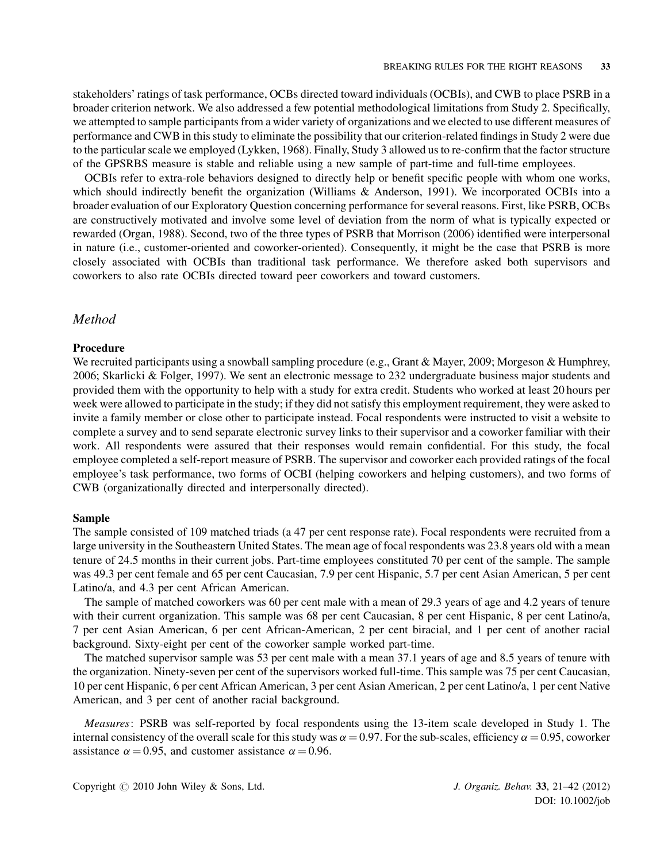stakeholders' ratings of task performance, OCBs directed toward individuals (OCBIs), and CWB to place PSRB in a broader criterion network. We also addressed a few potential methodological limitations from Study 2. Specifically, we attempted to sample participants from a wider variety of organizations and we elected to use different measures of performance and CWB in this study to eliminate the possibility that our criterion-related findings in Study 2 were due to the particular scale we employed (Lykken, 1968). Finally, Study 3 allowed us to re-confirm that the factor structure of the GPSRBS measure is stable and reliable using a new sample of part-time and full-time employees.

OCBIs refer to extra-role behaviors designed to directly help or benefit specific people with whom one works, which should indirectly benefit the organization (Williams & Anderson, 1991). We incorporated OCBIs into a broader evaluation of our Exploratory Question concerning performance for several reasons. First, like PSRB, OCBs are constructively motivated and involve some level of deviation from the norm of what is typically expected or rewarded (Organ, 1988). Second, two of the three types of PSRB that Morrison (2006) identified were interpersonal in nature (i.e., customer-oriented and coworker-oriented). Consequently, it might be the case that PSRB is more closely associated with OCBIs than traditional task performance. We therefore asked both supervisors and coworkers to also rate OCBIs directed toward peer coworkers and toward customers.

## Method

#### Procedure

We recruited participants using a snowball sampling procedure (e.g., Grant & Mayer, 2009; Morgeson & Humphrey, 2006; Skarlicki & Folger, 1997). We sent an electronic message to 232 undergraduate business major students and provided them with the opportunity to help with a study for extra credit. Students who worked at least 20 hours per week were allowed to participate in the study; if they did not satisfy this employment requirement, they were asked to invite a family member or close other to participate instead. Focal respondents were instructed to visit a website to complete a survey and to send separate electronic survey links to their supervisor and a coworker familiar with their work. All respondents were assured that their responses would remain confidential. For this study, the focal employee completed a self-report measure of PSRB. The supervisor and coworker each provided ratings of the focal employee's task performance, two forms of OCBI (helping coworkers and helping customers), and two forms of CWB (organizationally directed and interpersonally directed).

#### Sample

The sample consisted of 109 matched triads (a 47 per cent response rate). Focal respondents were recruited from a large university in the Southeastern United States. The mean age of focal respondents was 23.8 years old with a mean tenure of 24.5 months in their current jobs. Part-time employees constituted 70 per cent of the sample. The sample was 49.3 per cent female and 65 per cent Caucasian, 7.9 per cent Hispanic, 5.7 per cent Asian American, 5 per cent Latino/a, and 4.3 per cent African American.

The sample of matched coworkers was 60 per cent male with a mean of 29.3 years of age and 4.2 years of tenure with their current organization. This sample was 68 per cent Caucasian, 8 per cent Hispanic, 8 per cent Latino/a, 7 per cent Asian American, 6 per cent African-American, 2 per cent biracial, and 1 per cent of another racial background. Sixty-eight per cent of the coworker sample worked part-time.

The matched supervisor sample was 53 per cent male with a mean 37.1 years of age and 8.5 years of tenure with the organization. Ninety-seven per cent of the supervisors worked full-time. This sample was 75 per cent Caucasian, 10 per cent Hispanic, 6 per cent African American, 3 per cent Asian American, 2 per cent Latino/a, 1 per cent Native American, and 3 per cent of another racial background.

Measures: PSRB was self-reported by focal respondents using the 13-item scale developed in Study 1. The internal consistency of the overall scale for this study was  $\alpha = 0.97$ . For the sub-scales, efficiency  $\alpha = 0.95$ , coworker assistance  $\alpha = 0.95$ , and customer assistance  $\alpha = 0.96$ .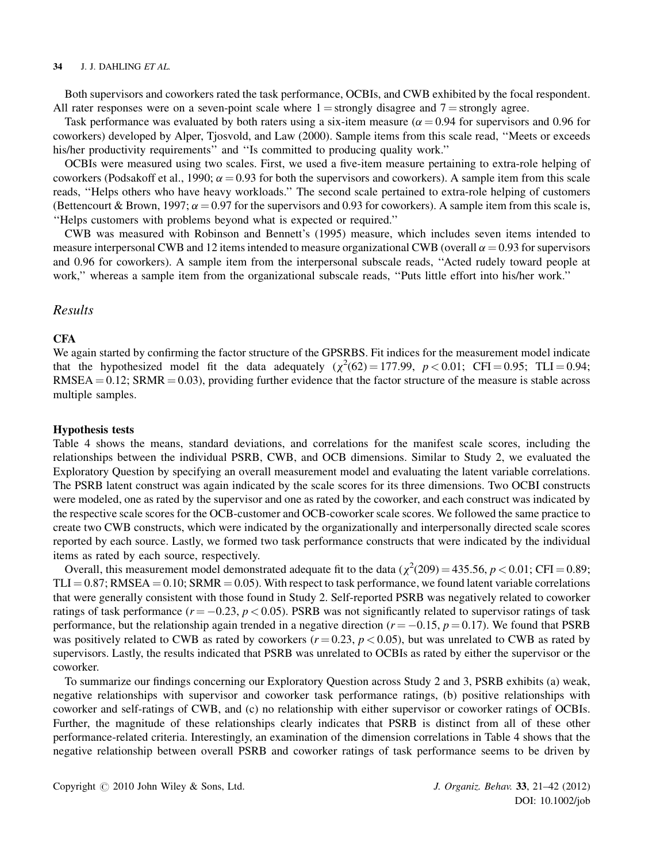Both supervisors and coworkers rated the task performance, OCBIs, and CWB exhibited by the focal respondent. All rater responses were on a seven-point scale where  $1 =$  strongly disagree and  $7 =$  strongly agree.

Task performance was evaluated by both raters using a six-item measure ( $\alpha$  = 0.94 for supervisors and 0.96 for coworkers) developed by Alper, Tjosvold, and Law (2000). Sample items from this scale read, ''Meets or exceeds his/her productivity requirements'' and ''Is committed to producing quality work.''

OCBIs were measured using two scales. First, we used a five-item measure pertaining to extra-role helping of coworkers (Podsakoff et al., 1990;  $\alpha = 0.93$  for both the supervisors and coworkers). A sample item from this scale reads, ''Helps others who have heavy workloads.'' The second scale pertained to extra-role helping of customers (Bettencourt & Brown, 1997;  $\alpha = 0.97$  for the supervisors and 0.93 for coworkers). A sample item from this scale is, ''Helps customers with problems beyond what is expected or required.''

CWB was measured with Robinson and Bennett's (1995) measure, which includes seven items intended to measure interpersonal CWB and 12 items intended to measure organizational CWB (overall  $\alpha$  = 0.93 for supervisors and 0.96 for coworkers). A sample item from the interpersonal subscale reads, ''Acted rudely toward people at work,'' whereas a sample item from the organizational subscale reads, ''Puts little effort into his/her work.''

## Results

### **CFA**

We again started by confirming the factor structure of the GPSRBS. Fit indices for the measurement model indicate that the hypothesized model fit the data adequately  $(\chi^2(62) = 177.99, p < 0.01; CFI = 0.95; TLI = 0.94;$  $RMSEA = 0.12$ ;  $SRMR = 0.03$ ), providing further evidence that the factor structure of the measure is stable across multiple samples.

#### Hypothesis tests

Table 4 shows the means, standard deviations, and correlations for the manifest scale scores, including the relationships between the individual PSRB, CWB, and OCB dimensions. Similar to Study 2, we evaluated the Exploratory Question by specifying an overall measurement model and evaluating the latent variable correlations. The PSRB latent construct was again indicated by the scale scores for its three dimensions. Two OCBI constructs were modeled, one as rated by the supervisor and one as rated by the coworker, and each construct was indicated by the respective scale scores for the OCB-customer and OCB-coworker scale scores. We followed the same practice to create two CWB constructs, which were indicated by the organizationally and interpersonally directed scale scores reported by each source. Lastly, we formed two task performance constructs that were indicated by the individual items as rated by each source, respectively.

Overall, this measurement model demonstrated adequate fit to the data  $(\chi^2(209) = 435.56, p < 0.01; CFI = 0.89;$  $TLI = 0.87$ ; RMSEA = 0.10; SRMR = 0.05). With respect to task performance, we found latent variable correlations that were generally consistent with those found in Study 2. Self-reported PSRB was negatively related to coworker ratings of task performance ( $r = -0.23$ ,  $p < 0.05$ ). PSRB was not significantly related to supervisor ratings of task performance, but the relationship again trended in a negative direction ( $r = -0.15$ ,  $p = 0.17$ ). We found that PSRB was positively related to CWB as rated by coworkers  $(r = 0.23, p < 0.05)$ , but was unrelated to CWB as rated by supervisors. Lastly, the results indicated that PSRB was unrelated to OCBIs as rated by either the supervisor or the coworker.

To summarize our findings concerning our Exploratory Question across Study 2 and 3, PSRB exhibits (a) weak, negative relationships with supervisor and coworker task performance ratings, (b) positive relationships with coworker and self-ratings of CWB, and (c) no relationship with either supervisor or coworker ratings of OCBIs. Further, the magnitude of these relationships clearly indicates that PSRB is distinct from all of these other performance-related criteria. Interestingly, an examination of the dimension correlations in Table 4 shows that the negative relationship between overall PSRB and coworker ratings of task performance seems to be driven by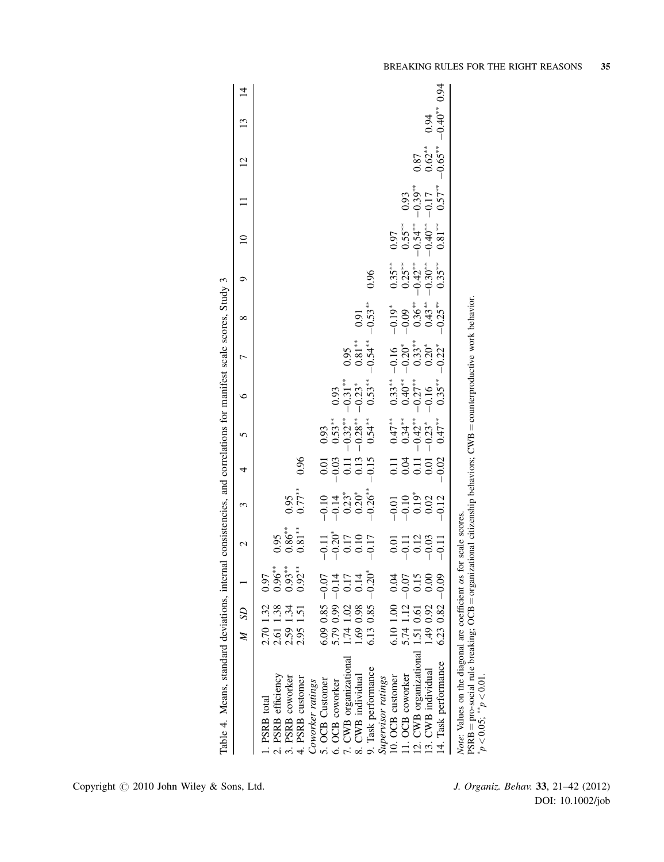|                                                                                                                                                                                         | $\mathbb{Z}$ | S <sub>D</sub>                      |                                               | $\mathbf 2$                                                                                                                                                                                                                                                                                                                                      | $\epsilon$                                          | 4                                       |                                                         | $\circ$                                                                   |                                                                                  | ∝                                                                 | ᡋ                                                                                    | $\Xi$                                                    |                                            | $\overline{c}$                                                  | $\mathbf{13}$ | ᅼ |
|-----------------------------------------------------------------------------------------------------------------------------------------------------------------------------------------|--------------|-------------------------------------|-----------------------------------------------|--------------------------------------------------------------------------------------------------------------------------------------------------------------------------------------------------------------------------------------------------------------------------------------------------------------------------------------------------|-----------------------------------------------------|-----------------------------------------|---------------------------------------------------------|---------------------------------------------------------------------------|----------------------------------------------------------------------------------|-------------------------------------------------------------------|--------------------------------------------------------------------------------------|----------------------------------------------------------|--------------------------------------------|-----------------------------------------------------------------|---------------|---|
| <b>PSRB</b> total                                                                                                                                                                       |              | 2.70 1.32                           |                                               |                                                                                                                                                                                                                                                                                                                                                  |                                                     |                                         |                                                         |                                                                           |                                                                                  |                                                                   |                                                                                      |                                                          |                                            |                                                                 |               |   |
| 2. PSRB efficiency                                                                                                                                                                      |              |                                     | $0.97$<br>$0.96***$<br>$0.93***$<br>$0.92***$ |                                                                                                                                                                                                                                                                                                                                                  |                                                     |                                         |                                                         |                                                                           |                                                                                  |                                                                   |                                                                                      |                                                          |                                            |                                                                 |               |   |
| 3. PSRB coworker                                                                                                                                                                        |              | 2.61 1.38<br>2.59 1.34<br>2.95 1.51 |                                               |                                                                                                                                                                                                                                                                                                                                                  |                                                     |                                         |                                                         |                                                                           |                                                                                  |                                                                   |                                                                                      |                                                          |                                            |                                                                 |               |   |
| 4. PSRB customer                                                                                                                                                                        |              |                                     |                                               | $\begin{array}{c} 0.95 \\ 0.86^{**} \\ 0.81^{**} \end{array}$                                                                                                                                                                                                                                                                                    | $0.95$<br>$0.77**$                                  | 0.96                                    |                                                         |                                                                           |                                                                                  |                                                                   |                                                                                      |                                                          |                                            |                                                                 |               |   |
| Coworker ratings                                                                                                                                                                        |              |                                     |                                               |                                                                                                                                                                                                                                                                                                                                                  |                                                     |                                         |                                                         |                                                                           |                                                                                  |                                                                   |                                                                                      |                                                          |                                            |                                                                 |               |   |
| 5. OCB Customer                                                                                                                                                                         |              | 6.09 0.85                           |                                               |                                                                                                                                                                                                                                                                                                                                                  |                                                     |                                         |                                                         |                                                                           |                                                                                  |                                                                   |                                                                                      |                                                          |                                            |                                                                 |               |   |
| 6. OCB coworker                                                                                                                                                                         | 5.79 0.99    |                                     |                                               |                                                                                                                                                                                                                                                                                                                                                  |                                                     |                                         |                                                         |                                                                           |                                                                                  |                                                                   |                                                                                      |                                                          |                                            |                                                                 |               |   |
| 7. CWB organizational                                                                                                                                                                   |              | 1.74 1.02                           |                                               |                                                                                                                                                                                                                                                                                                                                                  |                                                     |                                         |                                                         |                                                                           |                                                                                  |                                                                   |                                                                                      |                                                          |                                            |                                                                 |               |   |
| 8. CWB individual                                                                                                                                                                       |              | 0.98                                |                                               |                                                                                                                                                                                                                                                                                                                                                  |                                                     |                                         |                                                         |                                                                           |                                                                                  |                                                                   |                                                                                      |                                                          |                                            |                                                                 |               |   |
| 9. Task performance                                                                                                                                                                     | 6.13         | 0.85                                | 07<br>0717<br>07000<br>0700                   | $\begin{array}{c} 11 \\ -0.20 \\ -0.10 \\ -0.10 \\ -0.11 \\ -0.11 \\ -0.11 \\ -0.11 \\ -0.11 \\ -0.11 \\ -0.11 \\ -0.11 \\ -0.11 \\ -0.11 \\ -0.11 \\ -0.11 \\ -0.11 \\ -0.11 \\ -0.11 \\ -0.11 \\ -0.11 \\ -0.11 \\ -0.11 \\ -0.11 \\ -0.11 \\ -0.11 \\ -0.11 \\ -0.11 \\ -0.11 \\ -0.11 \\ -0.11 \\ -0.11 \\ -0.11 \\ -0.11 \\ -0.11 \\ -0.11$ | $-0.10$<br>$-0.23$<br>$-0.20$<br>$-0.20$<br>$-0.20$ | $-0.03$<br>$-0.11$<br>$0.13$<br>$-0.15$ | 0.93<br>$0.53**$<br>$-0.32**$<br>$-0.28***$<br>$0.54**$ | $\begin{array}{r} 0.93 \ -0.31^{**} \ -0.23^{*} \ -0.53^{**} \end{array}$ | $\begin{array}{c} 0.95 \\ 0.81^{**} \\ -0.54^{**} \end{array}$                   | $-0.91$<br>-0.53**                                                | 0.96                                                                                 |                                                          |                                            |                                                                 |               |   |
| supervisor ratings                                                                                                                                                                      |              |                                     |                                               |                                                                                                                                                                                                                                                                                                                                                  |                                                     |                                         |                                                         |                                                                           |                                                                                  |                                                                   |                                                                                      |                                                          |                                            |                                                                 |               |   |
| 10. OCB customer                                                                                                                                                                        |              | 6.10 1.00                           |                                               |                                                                                                                                                                                                                                                                                                                                                  |                                                     |                                         |                                                         |                                                                           |                                                                                  |                                                                   |                                                                                      |                                                          |                                            |                                                                 |               |   |
| 1. OCB coworker                                                                                                                                                                         |              | 5.74 1.12                           |                                               |                                                                                                                                                                                                                                                                                                                                                  |                                                     |                                         |                                                         |                                                                           |                                                                                  |                                                                   |                                                                                      |                                                          |                                            |                                                                 |               |   |
| 12. CWB organizational 1.51 0.61                                                                                                                                                        |              |                                     |                                               | $0.112$<br>$-0.12$<br>$-0.03$                                                                                                                                                                                                                                                                                                                    |                                                     |                                         |                                                         |                                                                           |                                                                                  |                                                                   |                                                                                      |                                                          |                                            |                                                                 |               |   |
| 13. CWB individual                                                                                                                                                                      |              | 1.49 0.92                           | $-0.07$<br>$-0.15$<br>0.00                    |                                                                                                                                                                                                                                                                                                                                                  | $-0.10$<br>$-0.10$<br>$-0.02$<br>$-0.12$            |                                         | $0.47**$ $0.34**$ $0.34**$ $0.23**$ $0.047**$           | $0.33**$<br>$0.40**$<br>$-0.27**$<br>$-0.16$<br>$-0.35**$                 | $\begin{array}{c} 16 \\ -0.20^* \\ -0.33^* \\ 0.320^* \\ -0.20^* \\ \end{array}$ | $-0.19$ *<br>$-0.36$ **<br>$-0.36$ **<br>$-0.35$ **<br>$-0.25$ ** | $\begin{array}{c} 0.35^{**} \\ 0.25^{**} \\ -0.42^{**} \\ -0.35^{**} \\ \end{array}$ | $0.97$<br>$0.55**$<br>$0.54**$<br>$-0.40**$<br>$-0.81**$ | $-0.93$<br>$-0.39$ **<br>$-0.17$<br>0.57** | $\begin{array}{c} 0.87 \\ 0.62^{***} \\ -0.65^{**} \end{array}$ | 0.94          |   |
| 14. Task performance                                                                                                                                                                    | 6.23 0.82    |                                     | $-0.09$                                       | $-0.1!$                                                                                                                                                                                                                                                                                                                                          |                                                     | 0.02                                    |                                                         |                                                                           |                                                                                  |                                                                   |                                                                                      |                                                          |                                            |                                                                 | $-0.40**0.94$ |   |
| PSRB = pro-social rule breaking; OCB = organizational citizenship behaviors; CWB = counterproductive work behavior<br>Note: Values on the diagonal are coefficient as for scale scores. |              |                                     |                                               |                                                                                                                                                                                                                                                                                                                                                  |                                                     |                                         |                                                         |                                                                           |                                                                                  |                                                                   |                                                                                      |                                                          |                                            |                                                                 |               |   |
|                                                                                                                                                                                         |              |                                     |                                               |                                                                                                                                                                                                                                                                                                                                                  |                                                     |                                         |                                                         |                                                                           |                                                                                  |                                                                   |                                                                                      |                                                          |                                            |                                                                 |               |   |

Table 4. Means, standard deviations, internal consistencies, and correlations for manifest scale scores, Study 3

Table 4. Means, standard deviations, internal consistencies, and correlations for manifest scale scores, Study 3

 $p < 0.05$ ;  $p < 0.01$ .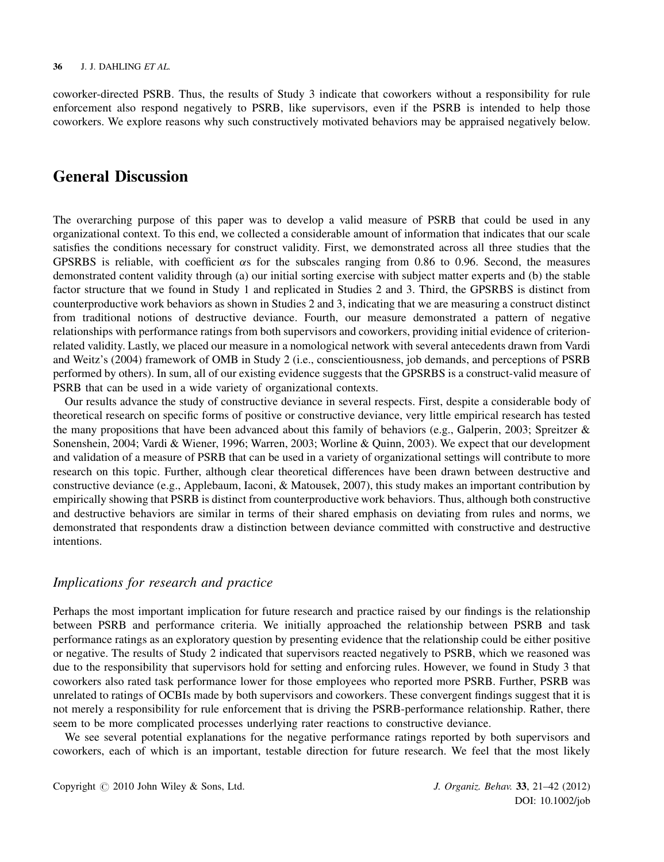coworker-directed PSRB. Thus, the results of Study 3 indicate that coworkers without a responsibility for rule enforcement also respond negatively to PSRB, like supervisors, even if the PSRB is intended to help those coworkers. We explore reasons why such constructively motivated behaviors may be appraised negatively below.

## General Discussion

The overarching purpose of this paper was to develop a valid measure of PSRB that could be used in any organizational context. To this end, we collected a considerable amount of information that indicates that our scale satisfies the conditions necessary for construct validity. First, we demonstrated across all three studies that the GPSRBS is reliable, with coefficient  $\alpha s$  for the subscales ranging from 0.86 to 0.96. Second, the measures demonstrated content validity through (a) our initial sorting exercise with subject matter experts and (b) the stable factor structure that we found in Study 1 and replicated in Studies 2 and 3. Third, the GPSRBS is distinct from counterproductive work behaviors as shown in Studies 2 and 3, indicating that we are measuring a construct distinct from traditional notions of destructive deviance. Fourth, our measure demonstrated a pattern of negative relationships with performance ratings from both supervisors and coworkers, providing initial evidence of criterionrelated validity. Lastly, we placed our measure in a nomological network with several antecedents drawn from Vardi and Weitz's (2004) framework of OMB in Study 2 (i.e., conscientiousness, job demands, and perceptions of PSRB performed by others). In sum, all of our existing evidence suggests that the GPSRBS is a construct-valid measure of PSRB that can be used in a wide variety of organizational contexts.

Our results advance the study of constructive deviance in several respects. First, despite a considerable body of theoretical research on specific forms of positive or constructive deviance, very little empirical research has tested the many propositions that have been advanced about this family of behaviors (e.g., Galperin, 2003; Spreitzer & Sonenshein, 2004; Vardi & Wiener, 1996; Warren, 2003; Worline & Quinn, 2003). We expect that our development and validation of a measure of PSRB that can be used in a variety of organizational settings will contribute to more research on this topic. Further, although clear theoretical differences have been drawn between destructive and constructive deviance (e.g., Applebaum, Iaconi, & Matousek, 2007), this study makes an important contribution by empirically showing that PSRB is distinct from counterproductive work behaviors. Thus, although both constructive and destructive behaviors are similar in terms of their shared emphasis on deviating from rules and norms, we demonstrated that respondents draw a distinction between deviance committed with constructive and destructive intentions.

### Implications for research and practice

Perhaps the most important implication for future research and practice raised by our findings is the relationship between PSRB and performance criteria. We initially approached the relationship between PSRB and task performance ratings as an exploratory question by presenting evidence that the relationship could be either positive or negative. The results of Study 2 indicated that supervisors reacted negatively to PSRB, which we reasoned was due to the responsibility that supervisors hold for setting and enforcing rules. However, we found in Study 3 that coworkers also rated task performance lower for those employees who reported more PSRB. Further, PSRB was unrelated to ratings of OCBIs made by both supervisors and coworkers. These convergent findings suggest that it is not merely a responsibility for rule enforcement that is driving the PSRB-performance relationship. Rather, there seem to be more complicated processes underlying rater reactions to constructive deviance.

We see several potential explanations for the negative performance ratings reported by both supervisors and coworkers, each of which is an important, testable direction for future research. We feel that the most likely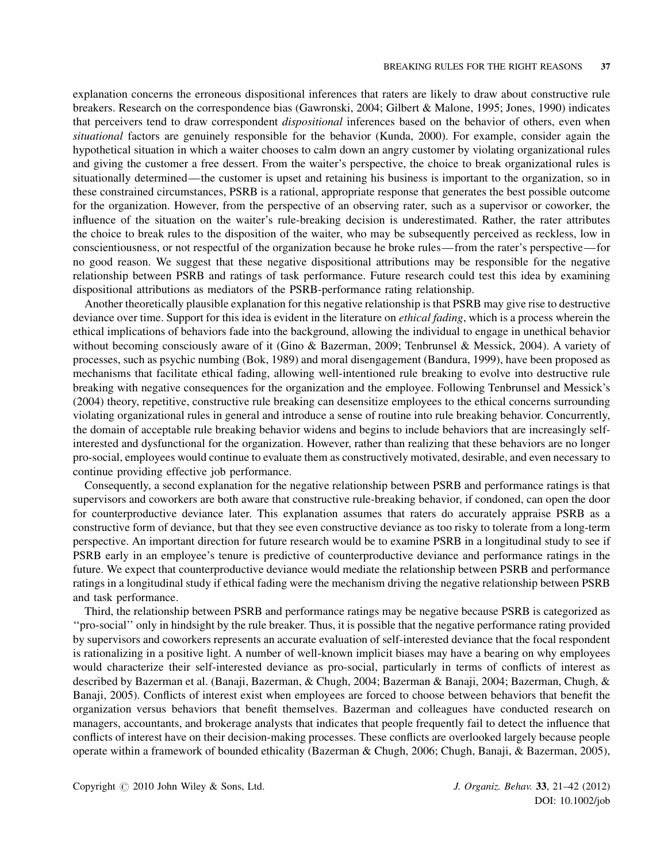explanation concerns the erroneous dispositional inferences that raters are likely to draw about constructive rule breakers. Research on the correspondence bias (Gawronski, 2004; Gilbert & Malone, 1995; Jones, 1990) indicates that perceivers tend to draw correspondent *dispositional* inferences based on the behavior of others, even when situational factors are genuinely responsible for the behavior (Kunda, 2000). For example, consider again the hypothetical situation in which a waiter chooses to calm down an angry customer by violating organizational rules and giving the customer a free dessert. From the waiter's perspective, the choice to break organizational rules is situationally determined—the customer is upset and retaining his business is important to the organization, so in these constrained circumstances, PSRB is a rational, appropriate response that generates the best possible outcome for the organization. However, from the perspective of an observing rater, such as a supervisor or coworker, the influence of the situation on the waiter's rule-breaking decision is underestimated. Rather, the rater attributes the choice to break rules to the disposition of the waiter, who may be subsequently perceived as reckless, low in conscientiousness, or not respectful of the organization because he broke rules— from the rater's perspective— for no good reason. We suggest that these negative dispositional attributions may be responsible for the negative relationship between PSRB and ratings of task performance. Future research could test this idea by examining dispositional attributions as mediators of the PSRB-performance rating relationship.

Another theoretically plausible explanation for this negative relationship is that PSRB may give rise to destructive deviance over time. Support for this idea is evident in the literature on *ethical fading*, which is a process wherein the ethical implications of behaviors fade into the background, allowing the individual to engage in unethical behavior without becoming consciously aware of it (Gino & Bazerman, 2009; Tenbrunsel & Messick, 2004). A variety of processes, such as psychic numbing (Bok, 1989) and moral disengagement (Bandura, 1999), have been proposed as mechanisms that facilitate ethical fading, allowing well-intentioned rule breaking to evolve into destructive rule breaking with negative consequences for the organization and the employee. Following Tenbrunsel and Messick's (2004) theory, repetitive, constructive rule breaking can desensitize employees to the ethical concerns surrounding violating organizational rules in general and introduce a sense of routine into rule breaking behavior. Concurrently, the domain of acceptable rule breaking behavior widens and begins to include behaviors that are increasingly selfinterested and dysfunctional for the organization. However, rather than realizing that these behaviors are no longer pro-social, employees would continue to evaluate them as constructively motivated, desirable, and even necessary to continue providing effective job performance.

Consequently, a second explanation for the negative relationship between PSRB and performance ratings is that supervisors and coworkers are both aware that constructive rule-breaking behavior, if condoned, can open the door for counterproductive deviance later. This explanation assumes that raters do accurately appraise PSRB as a constructive form of deviance, but that they see even constructive deviance as too risky to tolerate from a long-term perspective. An important direction for future research would be to examine PSRB in a longitudinal study to see if PSRB early in an employee's tenure is predictive of counterproductive deviance and performance ratings in the future. We expect that counterproductive deviance would mediate the relationship between PSRB and performance ratings in a longitudinal study if ethical fading were the mechanism driving the negative relationship between PSRB and task performance.

Third, the relationship between PSRB and performance ratings may be negative because PSRB is categorized as ''pro-social'' only in hindsight by the rule breaker. Thus, it is possible that the negative performance rating provided by supervisors and coworkers represents an accurate evaluation of self-interested deviance that the focal respondent is rationalizing in a positive light. A number of well-known implicit biases may have a bearing on why employees would characterize their self-interested deviance as pro-social, particularly in terms of conflicts of interest as described by Bazerman et al. (Banaji, Bazerman, & Chugh, 2004; Bazerman & Banaji, 2004; Bazerman, Chugh, & Banaji, 2005). Conflicts of interest exist when employees are forced to choose between behaviors that benefit the organization versus behaviors that benefit themselves. Bazerman and colleagues have conducted research on managers, accountants, and brokerage analysts that indicates that people frequently fail to detect the influence that conflicts of interest have on their decision-making processes. These conflicts are overlooked largely because people operate within a framework of bounded ethicality (Bazerman & Chugh, 2006; Chugh, Banaji, & Bazerman, 2005),

Copyright  $\odot$  2010 John Wiley & Sons, Ltd. J. Organiz. Behav. 33, 21–42 (2012)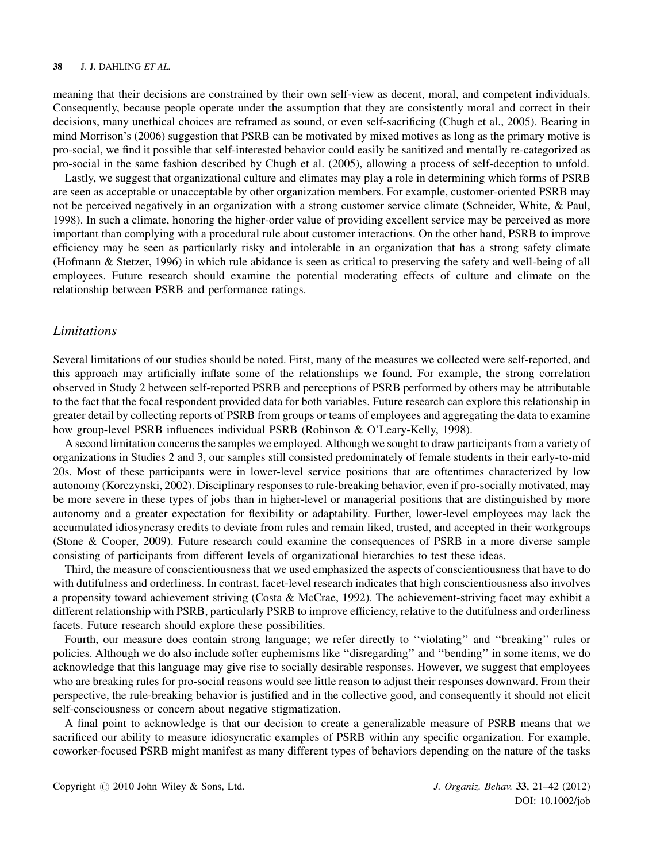meaning that their decisions are constrained by their own self-view as decent, moral, and competent individuals. Consequently, because people operate under the assumption that they are consistently moral and correct in their decisions, many unethical choices are reframed as sound, or even self-sacrificing (Chugh et al., 2005). Bearing in mind Morrison's (2006) suggestion that PSRB can be motivated by mixed motives as long as the primary motive is pro-social, we find it possible that self-interested behavior could easily be sanitized and mentally re-categorized as pro-social in the same fashion described by Chugh et al. (2005), allowing a process of self-deception to unfold.

Lastly, we suggest that organizational culture and climates may play a role in determining which forms of PSRB are seen as acceptable or unacceptable by other organization members. For example, customer-oriented PSRB may not be perceived negatively in an organization with a strong customer service climate (Schneider, White, & Paul, 1998). In such a climate, honoring the higher-order value of providing excellent service may be perceived as more important than complying with a procedural rule about customer interactions. On the other hand, PSRB to improve efficiency may be seen as particularly risky and intolerable in an organization that has a strong safety climate (Hofmann & Stetzer, 1996) in which rule abidance is seen as critical to preserving the safety and well-being of all employees. Future research should examine the potential moderating effects of culture and climate on the relationship between PSRB and performance ratings.

## Limitations

Several limitations of our studies should be noted. First, many of the measures we collected were self-reported, and this approach may artificially inflate some of the relationships we found. For example, the strong correlation observed in Study 2 between self-reported PSRB and perceptions of PSRB performed by others may be attributable to the fact that the focal respondent provided data for both variables. Future research can explore this relationship in greater detail by collecting reports of PSRB from groups or teams of employees and aggregating the data to examine how group-level PSRB influences individual PSRB (Robinson & O'Leary-Kelly, 1998).

A second limitation concerns the samples we employed. Although we sought to draw participants from a variety of organizations in Studies 2 and 3, our samples still consisted predominately of female students in their early-to-mid 20s. Most of these participants were in lower-level service positions that are oftentimes characterized by low autonomy (Korczynski, 2002). Disciplinary responses to rule-breaking behavior, even if pro-socially motivated, may be more severe in these types of jobs than in higher-level or managerial positions that are distinguished by more autonomy and a greater expectation for flexibility or adaptability. Further, lower-level employees may lack the accumulated idiosyncrasy credits to deviate from rules and remain liked, trusted, and accepted in their workgroups (Stone & Cooper, 2009). Future research could examine the consequences of PSRB in a more diverse sample consisting of participants from different levels of organizational hierarchies to test these ideas.

Third, the measure of conscientiousness that we used emphasized the aspects of conscientiousness that have to do with dutifulness and orderliness. In contrast, facet-level research indicates that high conscientiousness also involves a propensity toward achievement striving (Costa & McCrae, 1992). The achievement-striving facet may exhibit a different relationship with PSRB, particularly PSRB to improve efficiency, relative to the dutifulness and orderliness facets. Future research should explore these possibilities.

Fourth, our measure does contain strong language; we refer directly to ''violating'' and ''breaking'' rules or policies. Although we do also include softer euphemisms like ''disregarding'' and ''bending'' in some items, we do acknowledge that this language may give rise to socially desirable responses. However, we suggest that employees who are breaking rules for pro-social reasons would see little reason to adjust their responses downward. From their perspective, the rule-breaking behavior is justified and in the collective good, and consequently it should not elicit self-consciousness or concern about negative stigmatization.

A final point to acknowledge is that our decision to create a generalizable measure of PSRB means that we sacrificed our ability to measure idiosyncratic examples of PSRB within any specific organization. For example, coworker-focused PSRB might manifest as many different types of behaviors depending on the nature of the tasks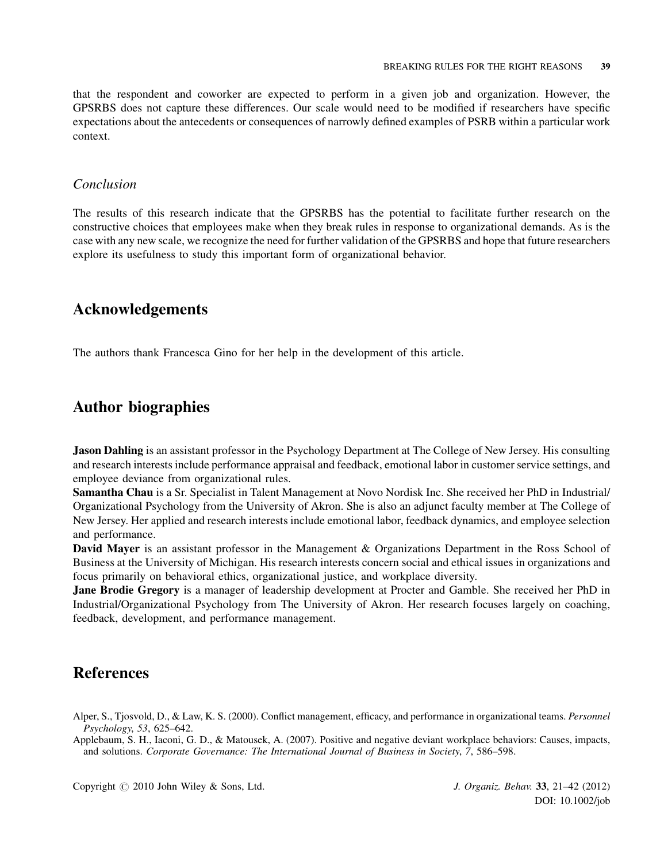that the respondent and coworker are expected to perform in a given job and organization. However, the GPSRBS does not capture these differences. Our scale would need to be modified if researchers have specific expectations about the antecedents or consequences of narrowly defined examples of PSRB within a particular work context.

## Conclusion

The results of this research indicate that the GPSRBS has the potential to facilitate further research on the constructive choices that employees make when they break rules in response to organizational demands. As is the case with any new scale, we recognize the need for further validation of the GPSRBS and hope that future researchers explore its usefulness to study this important form of organizational behavior.

## Acknowledgements

The authors thank Francesca Gino for her help in the development of this article.

## Author biographies

**Jason Dahling** is an assistant professor in the Psychology Department at The College of New Jersey. His consulting and research interests include performance appraisal and feedback, emotional labor in customer service settings, and employee deviance from organizational rules.

Samantha Chau is a Sr. Specialist in Talent Management at Novo Nordisk Inc. She received her PhD in Industrial/ Organizational Psychology from the University of Akron. She is also an adjunct faculty member at The College of New Jersey. Her applied and research interests include emotional labor, feedback dynamics, and employee selection and performance.

David Mayer is an assistant professor in the Management & Organizations Department in the Ross School of Business at the University of Michigan. His research interests concern social and ethical issues in organizations and focus primarily on behavioral ethics, organizational justice, and workplace diversity.

Jane Brodie Gregory is a manager of leadership development at Procter and Gamble. She received her PhD in Industrial/Organizational Psychology from The University of Akron. Her research focuses largely on coaching, feedback, development, and performance management.

## References

Alper, S., Tjosvold, D., & Law, K. S. (2000). Conflict management, efficacy, and performance in organizational teams. Personnel Psychology, 53, 625–642.

Applebaum, S. H., Iaconi, G. D., & Matousek, A. (2007). Positive and negative deviant workplace behaviors: Causes, impacts, and solutions. Corporate Governance: The International Journal of Business in Society, 7, 586–598.

Copyright  $\odot$  2010 John Wiley & Sons, Ltd. J. Organiz. Behav. 33, 21–42 (2012)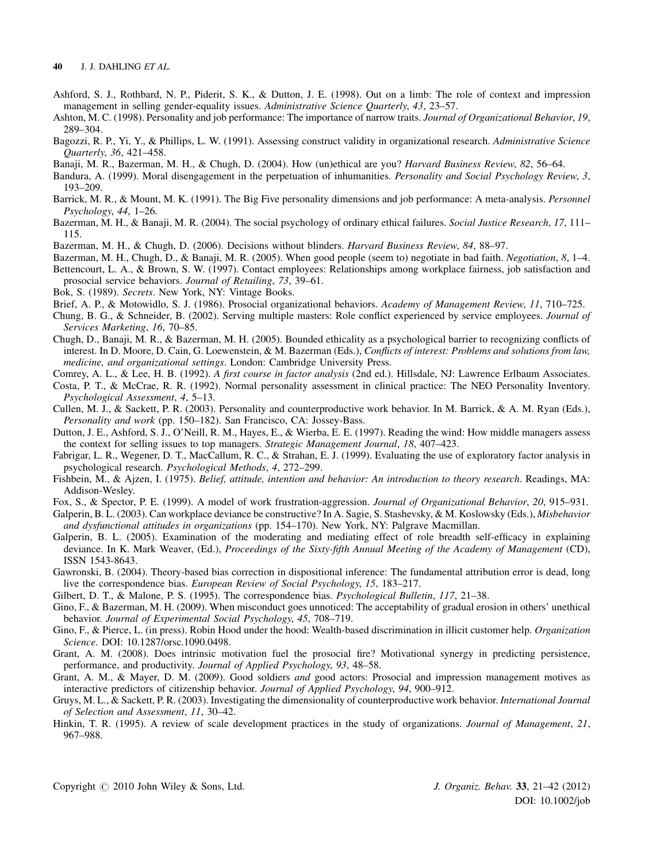- Ashford, S. J., Rothbard, N. P., Piderit, S. K., & Dutton, J. E. (1998). Out on a limb: The role of context and impression management in selling gender-equality issues. Administrative Science Quarterly, 43, 23–57.
- Ashton, M. C. (1998). Personality and job performance: The importance of narrow traits. Journal of Organizational Behavior, 19, 289–304.
- Bagozzi, R. P., Yi, Y., & Phillips, L. W. (1991). Assessing construct validity in organizational research. Administrative Science Quarterly, 36, 421–458.
- Banaji, M. R., Bazerman, M. H., & Chugh, D. (2004). How (un)ethical are you? Harvard Business Review, 82, 56–64.
- Bandura, A. (1999). Moral disengagement in the perpetuation of inhumanities. Personality and Social Psychology Review, 3, 193–209.
- Barrick, M. R., & Mount, M. K. (1991). The Big Five personality dimensions and job performance: A meta-analysis. Personnel Psychology, 44, 1–26.
- Bazerman, M. H., & Banaji, M. R. (2004). The social psychology of ordinary ethical failures. Social Justice Research, 17, 111-115.
- Bazerman, M. H., & Chugh, D. (2006). Decisions without blinders. Harvard Business Review, 84, 88–97.
- Bazerman, M. H., Chugh, D., & Banaji, M. R. (2005). When good people (seem to) negotiate in bad faith. Negotiation, 8, 1–4. Bettencourt, L. A., & Brown, S. W. (1997). Contact employees: Relationships among workplace fairness, job satisfaction and prosocial service behaviors. Journal of Retailing, 73, 39–61.
- Bok, S. (1989). Secrets. New York, NY: Vintage Books.
- Brief, A. P., & Motowidlo, S. J. (1986). Prosocial organizational behaviors. Academy of Management Review, 11, 710–725.
- Chung, B. G., & Schneider, B. (2002). Serving multiple masters: Role conflict experienced by service employees. Journal of Services Marketing, 16, 70–85.
- Chugh, D., Banaji, M. R., & Bazerman, M. H. (2005). Bounded ethicality as a psychological barrier to recognizing conflicts of interest. In D. Moore, D. Cain, G. Loewenstein, & M. Bazerman (Eds.), Conflicts of interest: Problems and solutions from law, medicine, and organizational settings. London: Cambridge University Press.
- Comrey, A. L., & Lee, H. B. (1992). A first course in factor analysis (2nd ed.). Hillsdale, NJ: Lawrence Erlbaum Associates.
- Costa, P. T., & McCrae, R. R. (1992). Normal personality assessment in clinical practice: The NEO Personality Inventory. Psychological Assessment, 4, 5–13.
- Cullen, M. J., & Sackett, P. R. (2003). Personality and counterproductive work behavior. In M. Barrick, & A. M. Ryan (Eds.), Personality and work (pp. 150-182). San Francisco, CA: Jossey-Bass.
- Dutton, J. E., Ashford, S. J., O'Neill, R. M., Hayes, E., & Wierba, E. E. (1997). Reading the wind: How middle managers assess the context for selling issues to top managers. Strategic Management Journal, 18, 407–423.
- Fabrigar, L. R., Wegener, D. T., MacCallum, R. C., & Strahan, E. J. (1999). Evaluating the use of exploratory factor analysis in psychological research. Psychological Methods, 4, 272–299.
- Fishbein, M., & Ajzen, I. (1975). Belief, attitude, intention and behavior: An introduction to theory research. Readings, MA: Addison-Wesley.
- Fox, S., & Spector, P. E. (1999). A model of work frustration-aggression. Journal of Organizational Behavior, 20, 915–931.
- Galperin, B. L. (2003). Can workplace deviance be constructive? In A. Sagie, S. Stashevsky, & M. Koslowsky (Eds.), Misbehavior and dysfunctional attitudes in organizations (pp. 154–170). New York, NY: Palgrave Macmillan.
- Galperin, B. L. (2005). Examination of the moderating and mediating effect of role breadth self-efficacy in explaining deviance. In K. Mark Weaver, (Ed.), Proceedings of the Sixty-fifth Annual Meeting of the Academy of Management (CD), ISSN 1543-8643.
- Gawronski, B. (2004). Theory-based bias correction in dispositional inference: The fundamental attribution error is dead, long live the correspondence bias. European Review of Social Psychology, 15, 183–217.
- Gilbert, D. T., & Malone, P. S. (1995). The correspondence bias. Psychological Bulletin, 117, 21–38.
- Gino, F., & Bazerman, M. H. (2009). When misconduct goes unnoticed: The acceptability of gradual erosion in others' unethical behavior. Journal of Experimental Social Psychology, 45, 708–719.
- Gino, F., & Pierce, L. (in press). Robin Hood under the hood: Wealth-based discrimination in illicit customer help. Organization Science. DOI: 10.1287/orsc.1090.0498.
- Grant, A. M. (2008). Does intrinsic motivation fuel the prosocial fire? Motivational synergy in predicting persistence, performance, and productivity. Journal of Applied Psychology, 93, 48–58.
- Grant, A. M., & Mayer, D. M. (2009). Good soldiers and good actors: Prosocial and impression management motives as interactive predictors of citizenship behavior. Journal of Applied Psychology, 94, 900–912.
- Gruys, M. L., & Sackett, P. R. (2003). Investigating the dimensionality of counterproductive work behavior. International Journal of Selection and Assessment, 11, 30–42.
- Hinkin, T. R. (1995). A review of scale development practices in the study of organizations. *Journal of Management*, 21, 967–988.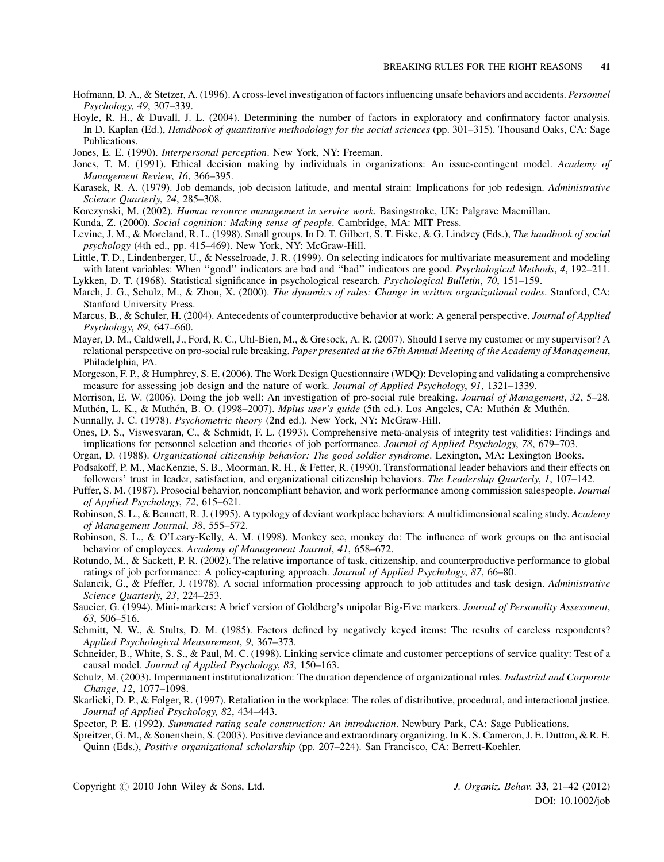- Hofmann, D. A., & Stetzer, A. (1996). A cross-level investigation of factors influencing unsafe behaviors and accidents. Personnel Psychology, 49, 307–339.
- Hoyle, R. H., & Duvall, J. L. (2004). Determining the number of factors in exploratory and confirmatory factor analysis. In D. Kaplan (Ed.), *Handbook of quantitative methodology for the social sciences* (pp. 301–315). Thousand Oaks, CA: Sage Publications.

Jones, E. E. (1990). *Interpersonal perception*. New York, NY: Freeman.

- Jones, T. M. (1991). Ethical decision making by individuals in organizations: An issue-contingent model. Academy of Management Review, 16, 366–395.
- Karasek, R. A. (1979). Job demands, job decision latitude, and mental strain: Implications for job redesign. Administrative Science Quarterly, 24, 285–308.
- Korczynski, M. (2002). Human resource management in service work. Basingstroke, UK: Palgrave Macmillan.
- Kunda, Z. (2000). Social cognition: Making sense of people. Cambridge, MA: MIT Press.
- Levine, J. M., & Moreland, R. L. (1998). Small groups. In D. T. Gilbert, S. T. Fiske, & G. Lindzey (Eds.), The handbook of social psychology (4th ed., pp. 415–469). New York, NY: McGraw-Hill.
- Little, T. D., Lindenberger, U., & Nesselroade, J. R. (1999). On selecting indicators for multivariate measurement and modeling with latent variables: When "good" indicators are bad and "bad" indicators are good. Psychological Methods, 4, 192-211. Lykken, D. T. (1968). Statistical significance in psychological research. Psychological Bulletin, 70, 151-159.
- March, J. G., Schulz, M., & Zhou, X. (2000). The dynamics of rules: Change in written organizational codes. Stanford, CA: Stanford University Press.
- Marcus, B., & Schuler, H. (2004). Antecedents of counterproductive behavior at work: A general perspective. Journal of Applied Psychology, 89, 647–660.
- Mayer, D. M., Caldwell, J., Ford, R. C., Uhl-Bien, M., & Gresock, A. R. (2007). Should I serve my customer or my supervisor? A relational perspective on pro-social rule breaking. Paper presented at the 67th Annual Meeting of the Academy of Management, Philadelphia, PA.
- Morgeson, F. P., & Humphrey, S. E. (2006). The Work Design Questionnaire (WDQ): Developing and validating a comprehensive measure for assessing job design and the nature of work. Journal of Applied Psychology, 91, 1321–1339.

Morrison, E. W. (2006). Doing the job well: An investigation of pro-social rule breaking. Journal of Management, 32, 5–28.

- Muthén, L. K., & Muthén, B. O. (1998–2007). Mplus user's guide (5th ed.). Los Angeles, CA: Muthén & Muthén.
- Nunnally, J. C. (1978). Psychometric theory (2nd ed.). New York, NY: McGraw-Hill.
- Ones, D. S., Viswesvaran, C., & Schmidt, F. L. (1993). Comprehensive meta-analysis of integrity test validities: Findings and implications for personnel selection and theories of job performance. Journal of Applied Psychology, 78, 679–703.
- Organ, D. (1988). Organizational citizenship behavior: The good soldier syndrome. Lexington, MA: Lexington Books.
- Podsakoff, P. M., MacKenzie, S. B., Moorman, R. H., & Fetter, R. (1990). Transformational leader behaviors and their effects on followers' trust in leader, satisfaction, and organizational citizenship behaviors. The Leadership Quarterly, 1, 107-142.
- Puffer, S. M. (1987). Prosocial behavior, noncompliant behavior, and work performance among commission salespeople. Journal of Applied Psychology, 72, 615–621.
- Robinson, S. L., & Bennett, R. J. (1995). A typology of deviant workplace behaviors: A multidimensional scaling study. Academy of Management Journal, 38, 555–572.
- Robinson, S. L., & O'Leary-Kelly, A. M. (1998). Monkey see, monkey do: The influence of work groups on the antisocial behavior of employees. Academy of Management Journal, 41, 658–672.
- Rotundo, M., & Sackett, P. R. (2002). The relative importance of task, citizenship, and counterproductive performance to global ratings of job performance: A policy-capturing approach. Journal of Applied Psychology, 87, 66–80.
- Salancik, G., & Pfeffer, J. (1978). A social information processing approach to job attitudes and task design. Administrative Science Quarterly, 23, 224–253.
- Saucier, G. (1994). Mini-markers: A brief version of Goldberg's unipolar Big-Five markers. Journal of Personality Assessment, 63, 506–516.
- Schmitt, N. W., & Stults, D. M. (1985). Factors defined by negatively keyed items: The results of careless respondents? Applied Psychological Measurement, 9, 367–373.
- Schneider, B., White, S. S., & Paul, M. C. (1998). Linking service climate and customer perceptions of service quality: Test of a causal model. Journal of Applied Psychology, 83, 150–163.
- Schulz, M. (2003). Impermanent institutionalization: The duration dependence of organizational rules. Industrial and Corporate Change, 12, 1077–1098.
- Skarlicki, D. P., & Folger, R. (1997). Retaliation in the workplace: The roles of distributive, procedural, and interactional justice. Journal of Applied Psychology, 82, 434–443.
- Spector, P. E. (1992). Summated rating scale construction: An introduction. Newbury Park, CA: Sage Publications.
- Spreitzer, G. M., & Sonenshein, S. (2003). Positive deviance and extraordinary organizing. In K. S. Cameron, J. E. Dutton, & R. E. Quinn (Eds.), *Positive organizational scholarship* (pp. 207–224). San Francisco, CA: Berrett-Koehler.

Copyright  $\odot$  2010 John Wiley & Sons, Ltd.  $J.$  Organiz. Behav. 33, 21–42 (2012)